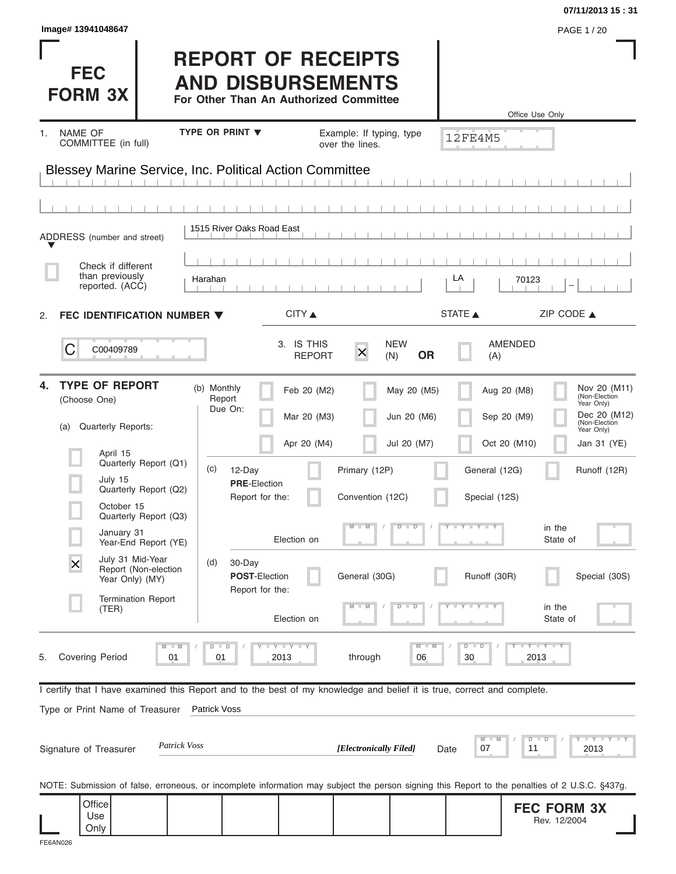| Image# 13941048647                                                                                                                                         |                                                                                                 |                                             |                                           |                                            | 07/11/2013 15:31<br>PAGE 1/20                                                                             |
|------------------------------------------------------------------------------------------------------------------------------------------------------------|-------------------------------------------------------------------------------------------------|---------------------------------------------|-------------------------------------------|--------------------------------------------|-----------------------------------------------------------------------------------------------------------|
| <b>FEC</b><br><b>FORM 3X</b>                                                                                                                               | <b>REPORT OF RECEIPTS</b><br><b>AND DISBURSEMENTS</b><br>For Other Than An Authorized Committee |                                             |                                           |                                            | Office Use Only                                                                                           |
| NAME OF<br>1.<br>COMMITTEE (in full)                                                                                                                       | TYPE OR PRINT V                                                                                 | Example: If typing, type<br>over the lines. |                                           | 12FE4M5                                    |                                                                                                           |
| <b>Blessey Marine Service, Inc. Political Action Committee</b>                                                                                             |                                                                                                 |                                             |                                           |                                            |                                                                                                           |
|                                                                                                                                                            |                                                                                                 |                                             |                                           |                                            |                                                                                                           |
| ADDRESS (number and street)                                                                                                                                | 1515 River Oaks Road East                                                                       |                                             |                                           |                                            |                                                                                                           |
| Check if different<br>than previously<br>reported. (ACC)                                                                                                   | Harahan                                                                                         |                                             |                                           | LA<br>70123                                |                                                                                                           |
| FEC IDENTIFICATION NUMBER ▼<br>2.                                                                                                                          |                                                                                                 | CITY ▲                                      |                                           | STATE A                                    | ZIP CODE $\triangle$                                                                                      |
| С<br>C00409789                                                                                                                                             |                                                                                                 | 3. IS THIS<br>$\times$<br><b>REPORT</b>     | <b>NEW</b><br><b>OR</b><br>(N)            | AMENDED<br>(A)                             |                                                                                                           |
| <b>TYPE OF REPORT</b><br>4.<br>(Choose One)<br>Quarterly Reports:<br>(a)                                                                                   | (b) Monthly<br>Report<br>Due On:                                                                | Feb 20 (M2)<br>Mar 20 (M3)<br>Apr 20 (M4)   | May 20 (M5)<br>Jun 20 (M6)<br>Jul 20 (M7) | Aug 20 (M8)<br>Sep 20 (M9)<br>Oct 20 (M10) | Nov 20 (M11)<br>(Non-Election<br>Year Only)<br>Dec 20 (M12)<br>(Non-Election<br>Year Only)<br>Jan 31 (YE) |
| April 15<br>Quarterly Report (Q1)<br>July 15<br>Quarterly Report (Q2)<br>October 15<br>Quarterly Report (Q3)                                               | (c)<br>12-Day<br><b>PRE-Election</b><br>Report for the:                                         | Primary (12P)<br>Convention (12C)           |                                           | General (12G)<br>Special (12S)             | Runoff (12R)                                                                                              |
| January 31<br>Year-End Report (YE)                                                                                                                         |                                                                                                 | $\Box$ M<br>Election on                     | $\overline{D}$<br>$\Box$                  | $T$ $Y$ $T$ $Y$ $T$                        | in the<br>State of                                                                                        |
| July 31 Mid-Year<br>$\overline{\mathsf{x}}$<br>Report (Non-election<br>Year Only) (MY)                                                                     | (d)<br>30-Day<br>POST-Election<br>Report for the:                                               | General (30G)                               |                                           | Runoff (30R)                               | Special (30S)                                                                                             |
| <b>Termination Report</b><br>(TER)                                                                                                                         |                                                                                                 | $-M$<br>Election on                         | $\overline{\mathbb{D}}$<br>ъ              |                                            | in the<br>State of                                                                                        |
| $M - M$<br><b>Covering Period</b><br>01<br>5.                                                                                                              | $T - Y = T - Y$<br>$D$ $D$<br>01<br>2013                                                        | through                                     | M<br>06                                   | $D - D$<br>30                              | $-Y - Y - Y$<br>2013                                                                                      |
| I certify that I have examined this Report and to the best of my knowledge and belief it is true, correct and complete.<br>Type or Print Name of Treasurer | <b>Patrick Voss</b>                                                                             |                                             |                                           |                                            |                                                                                                           |
| Patrick Voss<br>Signature of Treasurer                                                                                                                     |                                                                                                 | [Electronically Filed]                      | Date                                      | M<br>07                                    | $Y = Y = Y = Y$<br>$D$ $D$<br>11<br>2013                                                                  |
| NOTE: Submission of false, erroneous, or incomplete information may subject the person signing this Report to the penalties of 2 U.S.C. §437g.             |                                                                                                 |                                             |                                           |                                            |                                                                                                           |
| Office<br>Use<br>Only                                                                                                                                      |                                                                                                 |                                             |                                           |                                            | <b>FEC FORM 3X</b><br>Rev. 12/2004                                                                        |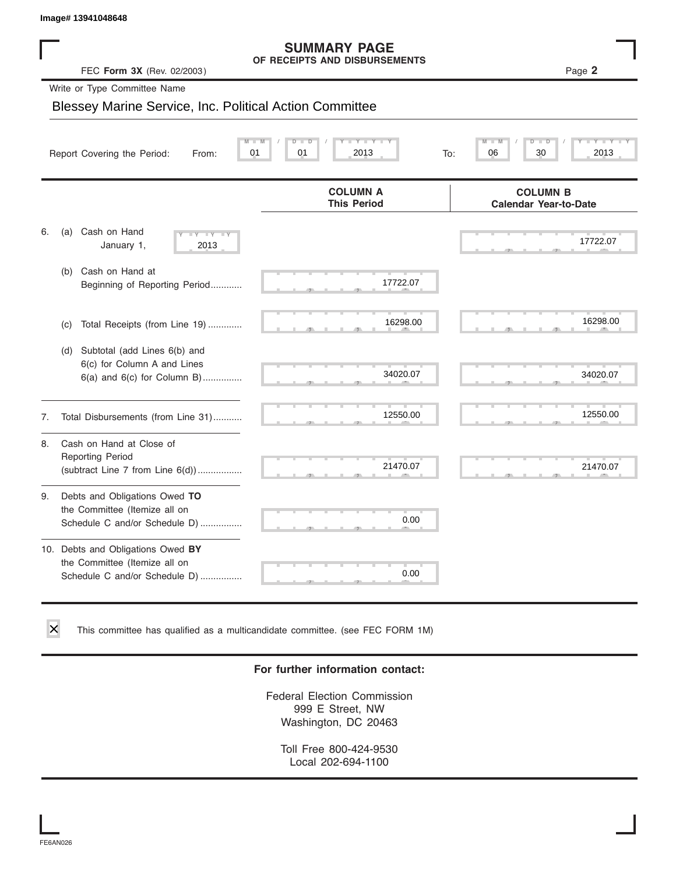#### **SUMMARY PAGE OF RECEIPTS AND DISBURSEMENTS**

|    | lmage# 13941048648                                                                                    |                                                      |                                                         |
|----|-------------------------------------------------------------------------------------------------------|------------------------------------------------------|---------------------------------------------------------|
|    | FEC Form 3X (Rev. 02/2003)                                                                            | <b>SUMMARY PAGE</b><br>OF RECEIPTS AND DISBURSEMENTS | Page 2                                                  |
|    | Write or Type Committee Name                                                                          |                                                      |                                                         |
|    | Blessey Marine Service, Inc. Political Action Committee                                               |                                                      |                                                         |
|    | 01<br>Report Covering the Period:<br>From:                                                            | 01<br>2013                                           | $\overline{\mathsf{M}}$<br>D<br>30<br>2013<br>To:<br>06 |
|    |                                                                                                       | <b>COLUMN A</b><br><b>This Period</b>                | <b>COLUMN B</b><br><b>Calendar Year-to-Date</b>         |
| 6. | Cash on Hand<br>(a)<br>$-Y - Y - Y$<br>January 1,<br>2013                                             |                                                      | 17722.07                                                |
|    | Cash on Hand at<br>(b)<br>Beginning of Reporting Period                                               | 17722.07                                             |                                                         |
|    | Total Receipts (from Line 19)<br>(c)                                                                  | 16298.00                                             | 16298.00                                                |
|    | Subtotal (add Lines 6(b) and<br>(d)<br>6(c) for Column A and Lines<br>$6(a)$ and $6(c)$ for Column B) | 34020.07                                             | 34020.07                                                |
| 7. | Total Disbursements (from Line 31)                                                                    | 12550.00                                             | 12550.00                                                |
| 8. | Cash on Hand at Close of<br><b>Reporting Period</b><br>(subtract Line 7 from Line 6(d))               | 21470.07                                             | 21470.07                                                |
| 9. | Debts and Obligations Owed TO<br>the Committee (Itemize all on<br>Schedule C and/or Schedule D)       | 0.00                                                 |                                                         |
|    | 10. Debts and Obligations Owed BY<br>the Committee (Itemize all on<br>Schedule C and/or Schedule D)   | т<br>0.00                                            |                                                         |

This committee has qualified as a multicandidate committee. (see FEC FORM 1M)

#### **For further information contact:**

Federal Election Commission 999 E Street, NW Washington, DC 20463

Toll Free 800-424-9530 Local 202-694-1100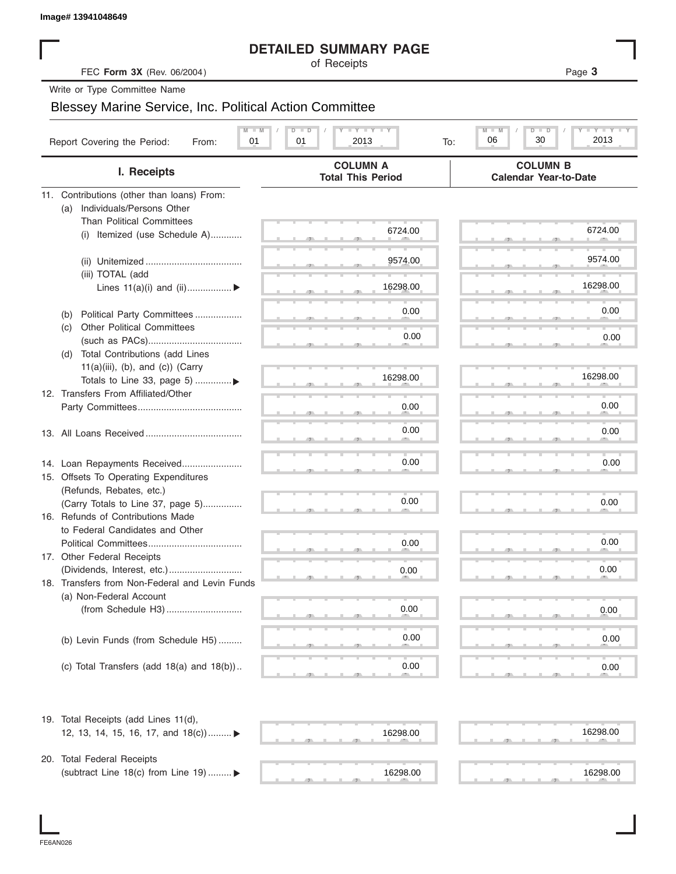|  | Image# 13941048649 |
|--|--------------------|
|--|--------------------|

#### **DETAILED SUMMARY PAGE**

|                                                                | <b>DETAILED SUMMARY PAGE</b>                                                                       |                                                 |
|----------------------------------------------------------------|----------------------------------------------------------------------------------------------------|-------------------------------------------------|
| FEC Form 3X (Rev. 06/2004)                                     | of Receipts                                                                                        | Page 3                                          |
| Write or Type Committee Name                                   |                                                                                                    |                                                 |
| <b>Blessey Marine Service, Inc. Political Action Committee</b> |                                                                                                    |                                                 |
|                                                                |                                                                                                    |                                                 |
| Report Covering the Period:<br>01<br>From:                     | $\mathbf{I}$ $\mathbf{Y}$ $\mathbf{I}$ $\mathbf{Y}$ $\mathbf{I}$ $\mathbf{Y}$<br>01<br>2013<br>To: | Y TY<br>M<br>$D$ $\Box$<br>30<br>2013<br>06     |
| I. Receipts                                                    | <b>COLUMN A</b><br><b>Total This Period</b>                                                        | <b>COLUMN B</b><br><b>Calendar Year-to-Date</b> |
| 11. Contributions (other than loans) From:                     |                                                                                                    |                                                 |
| Individuals/Persons Other<br>(a)                               |                                                                                                    |                                                 |
| <b>Than Political Committees</b>                               |                                                                                                    | 6724.00                                         |
| (i) Itemized (use Schedule A)                                  | 6724.00                                                                                            |                                                 |
|                                                                |                                                                                                    |                                                 |
|                                                                | 9574.00                                                                                            | 9574.00                                         |
| (iii) TOTAL (add                                               |                                                                                                    | 16298.00                                        |
| Lines $11(a)(i)$ and $(ii)$                                    | 16298.00                                                                                           |                                                 |
| Political Party Committees<br>(b)                              | 0.00                                                                                               | 0.00                                            |
| <b>Other Political Committees</b><br>(C)                       |                                                                                                    |                                                 |
|                                                                | 0.00                                                                                               | 0.00                                            |
| Total Contributions (add Lines<br>(d)                          |                                                                                                    |                                                 |
| $11(a)(iii)$ , (b), and (c)) (Carry                            |                                                                                                    |                                                 |
| Totals to Line 33, page 5) ▶                                   | 16298.00                                                                                           | 16298.00                                        |
| 12. Transfers From Affiliated/Other                            |                                                                                                    |                                                 |
|                                                                | 0.00                                                                                               | 0.00                                            |
|                                                                |                                                                                                    |                                                 |
|                                                                | 0.00                                                                                               | 0.00                                            |
|                                                                |                                                                                                    |                                                 |
| 14. Loan Repayments Received                                   | 0.00                                                                                               | 0.00                                            |
| 15. Offsets To Operating Expenditures                          |                                                                                                    |                                                 |
| (Refunds, Rebates, etc.)                                       | 0.00                                                                                               |                                                 |
| (Carry Totals to Line 37, page 5)                              |                                                                                                    | 0.00                                            |
| 16. Refunds of Contributions Made                              |                                                                                                    |                                                 |
| to Federal Candidates and Other<br>Political Committees        | 0.00                                                                                               | 0.00                                            |
| 17. Other Federal Receipts                                     |                                                                                                    |                                                 |
|                                                                | 0.00                                                                                               | 0.00                                            |
| 18. Transfers from Non-Federal and Levin Funds                 |                                                                                                    |                                                 |
| (a) Non-Federal Account                                        |                                                                                                    |                                                 |
|                                                                | 0.00                                                                                               | 0.00                                            |
|                                                                |                                                                                                    |                                                 |
| (b) Levin Funds (from Schedule H5)                             | 0.00                                                                                               | 0.00                                            |
|                                                                |                                                                                                    |                                                 |
| (c) Total Transfers (add $18(a)$ and $18(b)$ )                 | 0.00                                                                                               | 0.00                                            |
|                                                                |                                                                                                    |                                                 |
| 19. Total Receipts (add Lines 11(d),                           |                                                                                                    |                                                 |
| 12, 13, 14, 15, 16, 17, and 18(c)) ▶                           | 16298.00                                                                                           | 16298.00                                        |
|                                                                |                                                                                                    |                                                 |
| 20. Total Federal Receipts                                     |                                                                                                    |                                                 |
| (subtract Line 18(c) from Line 19)  ▶                          | 16298.00                                                                                           | 16298.00                                        |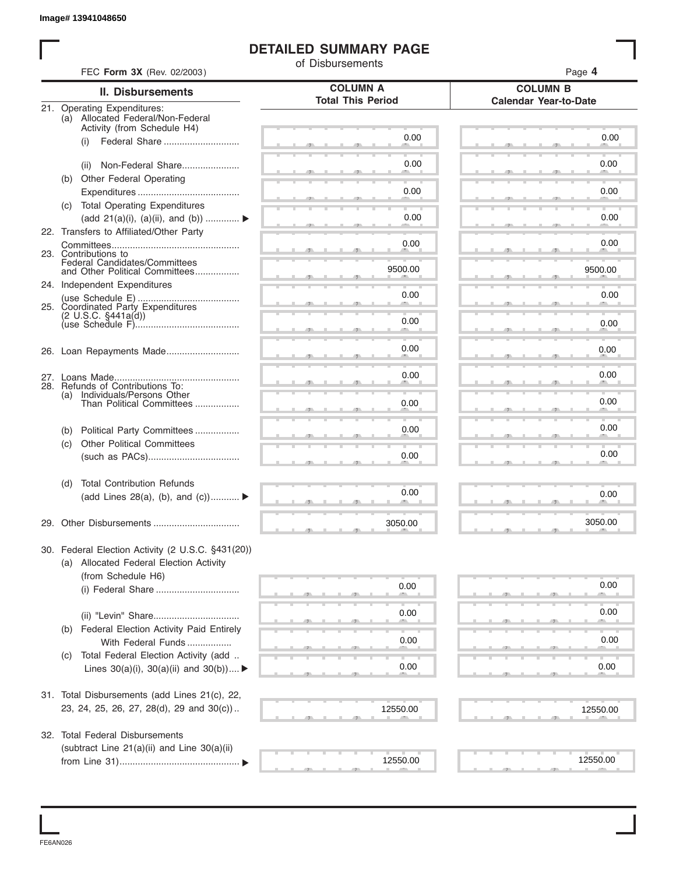#### **DETAILED SUMMARY PAGE**

|     | FEC Form 3X (Rev. 02/2003)                                           | of Disbursements         | Page 4                       |
|-----|----------------------------------------------------------------------|--------------------------|------------------------------|
|     | <b>II. Disbursements</b>                                             | <b>COLUMN A</b>          | <b>COLUMN B</b>              |
|     | 21. Operating Expenditures:                                          | <b>Total This Period</b> | <b>Calendar Year-to-Date</b> |
|     | (a) Allocated Federal/Non-Federal                                    |                          |                              |
|     | Activity (from Schedule H4)<br>Federal Share<br>(i)                  | 0.00                     | 0.00                         |
|     |                                                                      |                          |                              |
|     | Non-Federal Share<br>(ii)                                            | 0.00                     | 0.00                         |
|     | (b) Other Federal Operating                                          |                          |                              |
|     |                                                                      | 0.00                     | 0.00                         |
|     | (c) Total Operating Expenditures<br>(add 21(a)(i), (a)(ii), and (b)) | 0.00                     | 0.00                         |
|     | 22. Transfers to Affiliated/Other Party                              |                          |                              |
|     |                                                                      | 0.00                     | 0.00                         |
|     | 23. Contributions to<br>Federal Candidates/Committees                |                          |                              |
|     | and Other Political Committees                                       | 9500.00                  | 9500.00                      |
|     | 24. Independent Expenditures                                         | 0.00                     | 0.00                         |
|     | 25. Coordinated Party Expenditures                                   |                          |                              |
|     | $(2 \cup S.C. \S441a(d))$                                            | 0.00                     | 0.00                         |
|     |                                                                      |                          |                              |
|     |                                                                      | 0.00                     | 0.00                         |
|     |                                                                      | 0.00                     | 0.00                         |
|     | 28. Refunds of Contributions To:                                     |                          |                              |
| (a) | Individuals/Persons Other<br>Than Political Committees               | 0.00                     | 0.00                         |
|     |                                                                      |                          |                              |
| (b) | Political Party Committees                                           | 0.00                     | 0.00                         |
| (c) | <b>Other Political Committees</b>                                    | 0.00                     | 0.00                         |
|     |                                                                      |                          |                              |
| (d) | <b>Total Contribution Refunds</b>                                    |                          |                              |
|     | (add Lines 28(a), (b), and $(c)$ )                                   | 0.00                     | 0.00                         |
|     |                                                                      |                          |                              |
|     |                                                                      | 3050.00                  | 3050.00                      |
|     | 30. Federal Election Activity (2 U.S.C. §431(20))                    |                          |                              |
|     | (a) Allocated Federal Election Activity                              |                          |                              |
|     | (from Schedule H6)                                                   |                          | 0.00                         |
|     |                                                                      | 0.00                     |                              |
|     |                                                                      | 0.00                     | 0.00                         |
| (b) | <b>Federal Election Activity Paid Entirely</b>                       |                          |                              |
|     | With Federal Funds                                                   | 0.00                     | 0.00                         |
| (C) | Total Federal Election Activity (add                                 |                          |                              |
|     | Lines $30(a)(i)$ , $30(a)(ii)$ and $30(b))$                          | 0.00                     | 0.00                         |
|     | 31. Total Disbursements (add Lines 21(c), 22,                        |                          |                              |
|     | 23, 24, 25, 26, 27, 28(d), 29 and 30(c))                             | 12550.00                 | 12550.00                     |
|     |                                                                      |                          |                              |
|     | 32. Total Federal Disbursements                                      |                          |                              |
|     | (subtract Line 21(a)(ii) and Line 30(a)(ii)                          |                          |                              |
|     |                                                                      | 12550.00                 | 12550.00                     |

FE6AN026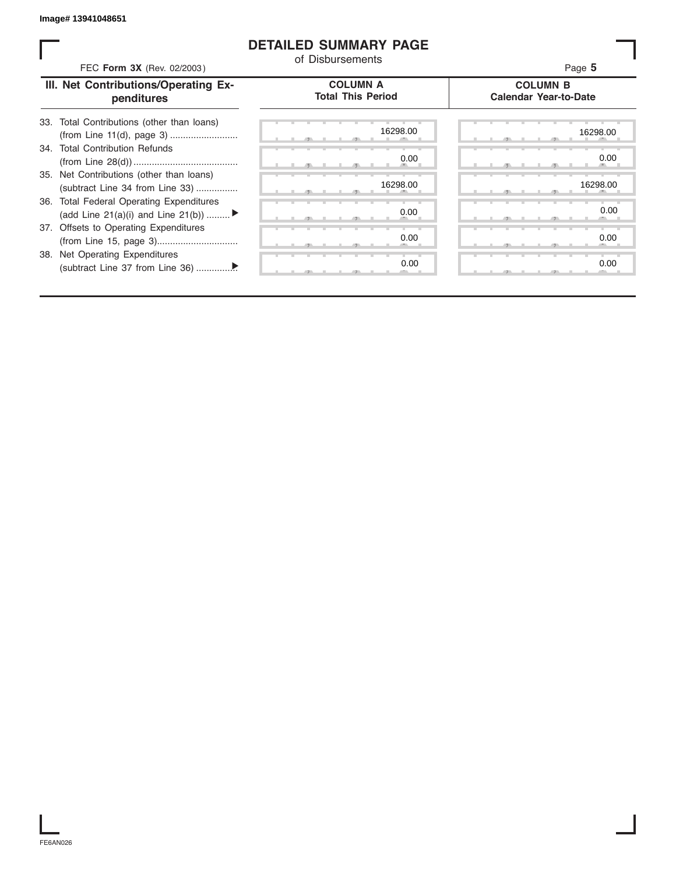#### **DETAILED SUMMARY PAGE**

| FEC Form 3X (Rev. 02/2003)                                                     | of Disbursements                            | Page 5                                          |
|--------------------------------------------------------------------------------|---------------------------------------------|-------------------------------------------------|
| III. Net Contributions/Operating Ex-<br>penditures                             | <b>COLUMN A</b><br><b>Total This Period</b> | <b>COLUMN B</b><br><b>Calendar Year-to-Date</b> |
| 33. Total Contributions (other than loans)                                     | 16298.00                                    | 16298.00                                        |
| 34. Total Contribution Refunds                                                 | 0.00                                        | 0.00                                            |
| 35. Net Contributions (other than loans)<br>(subtract Line 34 from Line 33)    | 16298.00                                    | 16298.00                                        |
| 36. Total Federal Operating Expenditures<br>(add Line 21(a)(i) and Line 21(b)) | 0.00                                        | 0.00                                            |
| 37. Offsets to Operating Expenditures                                          | 0.00                                        | 0.00                                            |
| 38. Net Operating Expenditures                                                 | 0.00                                        | 0.00                                            |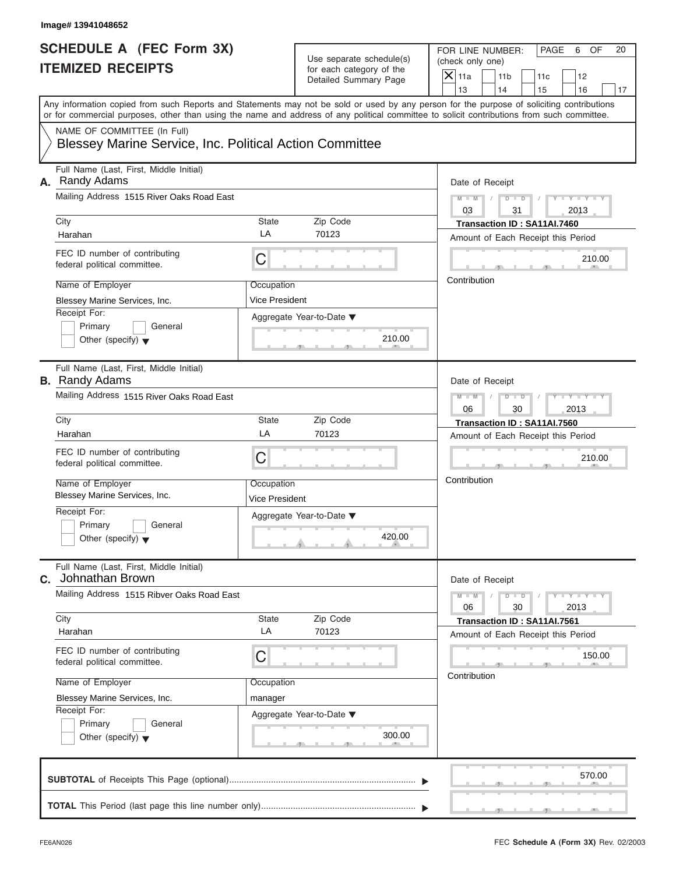|                          | FOR LINE NUMBER:           | I PAGE | 6 | OF. |
|--------------------------|----------------------------|--------|---|-----|
| Use separate schedule(s) | (check only one)           |        |   |     |
| for each category of the | $ \mathsf{X} $ 11a<br> 11b |        |   |     |
| Detailed Summary Page    |                            |        |   |     |

| SCHEDULE A (FEC Form 3X)<br><b>ITEMIZED RECEIPTS</b>                                                                                                                                                                                                                                                                   |                                                                | Use separate schedule(s)<br>for each category of the<br>Detailed Summary Page | FOR LINE NUMBER:<br>PAGE<br>6<br>OF<br>20<br>(check only one)<br>$X$   11a<br>11 <sub>b</sub><br>12<br>11c                                                              |
|------------------------------------------------------------------------------------------------------------------------------------------------------------------------------------------------------------------------------------------------------------------------------------------------------------------------|----------------------------------------------------------------|-------------------------------------------------------------------------------|-------------------------------------------------------------------------------------------------------------------------------------------------------------------------|
| Any information copied from such Reports and Statements may not be sold or used by any person for the purpose of soliciting contributions<br>or for commercial purposes, other than using the name and address of any political committee to solicit contributions from such committee.<br>NAME OF COMMITTEE (In Full) |                                                                |                                                                               | 13<br>14<br>15<br>16<br>17                                                                                                                                              |
| <b>Blessey Marine Service, Inc. Political Action Committee</b>                                                                                                                                                                                                                                                         |                                                                |                                                                               |                                                                                                                                                                         |
| Full Name (Last, First, Middle Initial)<br>A. Randy Adams<br>Mailing Address 1515 River Oaks Road East<br>City<br>Harahan<br>FEC ID number of contributing<br>federal political committee.<br>Name of Employer<br>Blessey Marine Services, Inc.                                                                        | State<br>LA<br>C<br>Occupation<br>Vice President               | Zip Code<br>70123                                                             | Date of Receipt<br>$M - M$ /<br>$Y = Y +$<br>$D$ $D$<br>03<br>31<br>2013<br>Transaction ID: SA11AI.7460<br>Amount of Each Receipt this Period<br>210.00<br>Contribution |
| Receipt For:<br>Primary<br>General<br>Other (specify) $\blacktriangledown$                                                                                                                                                                                                                                             |                                                                | Aggregate Year-to-Date ▼<br>210.00                                            |                                                                                                                                                                         |
| Full Name (Last, First, Middle Initial)<br><b>B.</b> Randy Adams<br>Mailing Address 1515 River Oaks Road East                                                                                                                                                                                                          |                                                                |                                                                               | Date of Receipt<br>Y TYT<br>$M - M$<br>$D - D$<br>$\sqrt{2}$<br>2013<br>06<br>30                                                                                        |
| City<br>Harahan<br>FEC ID number of contributing<br>federal political committee.<br>Name of Employer<br>Blessey Marine Services, Inc.<br>Receipt For:<br>Primary<br>General<br>Other (specify) $\blacktriangledown$                                                                                                    | <b>State</b><br>LA<br>C<br>Occupation<br><b>Vice President</b> | Zip Code<br>70123<br>Aggregate Year-to-Date ▼<br>420.00<br>$\overline{1}$     | Transaction ID: SA11AI.7560<br>Amount of Each Receipt this Period<br>210.00<br>Contribution                                                                             |
| Full Name (Last, First, Middle Initial)<br>Johnathan Brown<br>С.<br>Mailing Address 1515 Ribver Oaks Road East<br>City                                                                                                                                                                                                 | State<br>LA                                                    | Zip Code                                                                      | Date of Receipt<br>$Y = Y - Y - Y$<br>$M - M$<br>$D$ $D$<br>06<br>30<br>2013<br>Transaction ID: SA11AI.7561                                                             |
| Harahan<br>FEC ID number of contributing<br>federal political committee.<br>Name of Employer<br>Blessey Marine Services, Inc.<br>Receipt For:<br>Primary<br>General<br>Other (specify) $\blacktriangledown$                                                                                                            | C<br>Occupation<br>manager                                     | 70123<br>Aggregate Year-to-Date ▼<br>300.00                                   | Amount of Each Receipt this Period<br>150.00<br>Contribution                                                                                                            |
|                                                                                                                                                                                                                                                                                                                        |                                                                |                                                                               | 570.00                                                                                                                                                                  |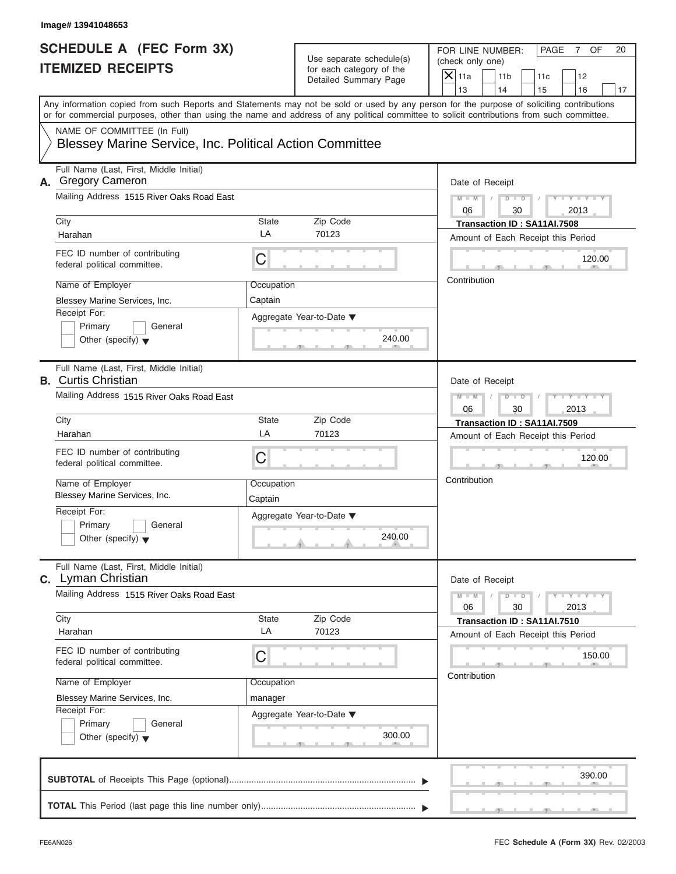|                                                   | FOR LINE NUMBER:                      | I PAGE | NF. |
|---------------------------------------------------|---------------------------------------|--------|-----|
| Use separate schedule(s)                          | (check only one)                      |        |     |
| for each category of the<br>Detailed Summary Page | $ \mathsf{X} $ 11a<br>11 <sub>b</sub> | 11c    |     |
|                                                   |                                       |        |     |

| SCHEDULE A (FEC Form 3X)<br><b>ITEMIZED RECEIPTS</b>                                                                                                                                                                                                                                                                                                                                     | Use separate schedule(s)<br>for each category of the<br>Detailed Summary Page | FOR LINE NUMBER:<br>PAGE<br>$\overline{7}$<br>OF<br>20<br>(check only one)<br>$X$ 11a<br>11 <sub>b</sub><br>11c<br>12<br>13<br>14<br>15<br>16<br>17                                                                                                                                            |
|------------------------------------------------------------------------------------------------------------------------------------------------------------------------------------------------------------------------------------------------------------------------------------------------------------------------------------------------------------------------------------------|-------------------------------------------------------------------------------|------------------------------------------------------------------------------------------------------------------------------------------------------------------------------------------------------------------------------------------------------------------------------------------------|
| Any information copied from such Reports and Statements may not be sold or used by any person for the purpose of soliciting contributions<br>or for commercial purposes, other than using the name and address of any political committee to solicit contributions from such committee.<br>NAME OF COMMITTEE (In Full)<br><b>Blessey Marine Service, Inc. Political Action Committee</b> |                                                                               |                                                                                                                                                                                                                                                                                                |
| Full Name (Last, First, Middle Initial)<br>A. Gregory Cameron<br>Mailing Address 1515 River Oaks Road East<br>City<br>State<br>LA<br>Harahan<br>FEC ID number of contributing<br>C<br>federal political committee.<br>Name of Employer<br>Blessey Marine Services, Inc.<br>Captain<br>Receipt For:<br>Primary<br>General<br>Other (specify) $\blacktriangledown$                         | Zip Code<br>70123<br>Occupation<br>Aggregate Year-to-Date ▼<br>240.00         | Date of Receipt<br>$M - M$<br>$Y - Y - Y$<br>$D$ $D$<br>$\sqrt{2}$<br>06<br>30<br>2013<br>Transaction ID: SA11AI.7508<br>Amount of Each Receipt this Period<br>120.00<br>Contribution                                                                                                          |
| Full Name (Last, First, Middle Initial)<br><b>B.</b> Curtis Christian<br>Mailing Address 1515 River Oaks Road East<br>City<br><b>State</b><br>LA<br>Harahan<br>FEC ID number of contributing<br>C<br>federal political committee.<br>Name of Employer<br>Blessey Marine Services, Inc.<br>Captain<br>Receipt For:<br>Primary<br>General<br>Other (specify) $\blacktriangledown$          | Zip Code<br>70123<br>Occupation<br>Aggregate Year-to-Date ▼<br>240.00<br>A    | Date of Receipt<br>$M - M$<br>$D - D$<br>$\overline{Y}$<br>$-Y$<br>30<br>2013<br>06<br>Transaction ID: SA11AI.7509<br>Amount of Each Receipt this Period<br>120.00<br>Contribution                                                                                                             |
| Full Name (Last, First, Middle Initial)<br><b>C.</b> Lyman Christian<br>Mailing Address 1515 River Oaks Road East<br>City<br><b>State</b><br>LA<br>Harahan<br>FEC ID number of contributing<br>C<br>federal political committee.<br>Name of Employer<br>Blessey Marine Services, Inc.<br>manager<br>Receipt For:<br>Primary<br>General<br>Other (specify) $\blacktriangledown$           | Zip Code<br>70123<br>Occupation<br>Aggregate Year-to-Date ▼<br>300.00         | Date of Receipt<br>$\begin{array}{c c c c c} \hline \textbf{I} & \textbf{Y} & \textbf{I} & \textbf{Y} & \textbf{I} & \textbf{Y} \\\hline \end{array}$<br>$M - M$<br>$D$ $D$<br>30<br>06<br>2013<br>Transaction ID: SA11AI.7510<br>Amount of Each Receipt this Period<br>150.00<br>Contribution |
|                                                                                                                                                                                                                                                                                                                                                                                          |                                                                               | 390.00                                                                                                                                                                                                                                                                                         |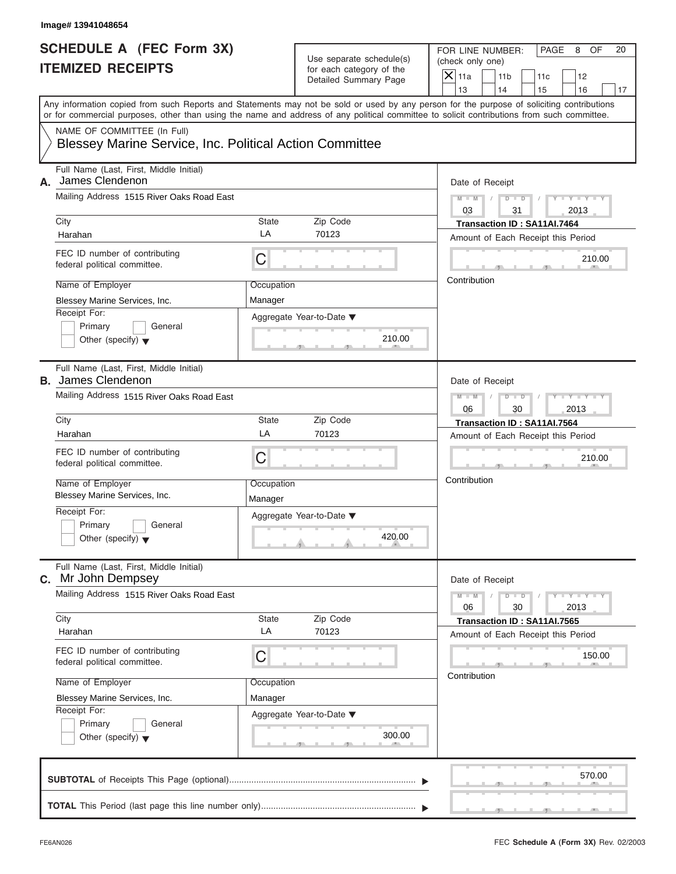|                                                   | FOR LINE NUMBER:          | <b>PAGE</b> | 8 | OF. |
|---------------------------------------------------|---------------------------|-------------|---|-----|
| Use separate schedule(s)                          | (check only one)          |             |   |     |
| for each category of the<br>Detailed Summary Page | $ \mathsf{X} $ 11a<br>11b |             |   |     |
|                                                   |                           |             |   |     |

| <b>ITEMIZED RECEIPTS</b>                                                                                                                                                                                                                                                                                                                                                                 | Use separate schedule(s)<br>for each category of the<br>Detailed Summary Page                     | FOR LINE NUMBER:<br>PAGE<br>8<br>OF<br>20<br>(check only one)<br>$X$ 11a<br>11 <sub>b</sub><br>12<br>11c<br>13<br>14<br>15<br>16<br>17                                |
|------------------------------------------------------------------------------------------------------------------------------------------------------------------------------------------------------------------------------------------------------------------------------------------------------------------------------------------------------------------------------------------|---------------------------------------------------------------------------------------------------|-----------------------------------------------------------------------------------------------------------------------------------------------------------------------|
| Any information copied from such Reports and Statements may not be sold or used by any person for the purpose of soliciting contributions<br>or for commercial purposes, other than using the name and address of any political committee to solicit contributions from such committee.<br>NAME OF COMMITTEE (In Full)<br><b>Blessey Marine Service, Inc. Political Action Committee</b> |                                                                                                   |                                                                                                                                                                       |
| Full Name (Last, First, Middle Initial)<br>James Clendenon<br>А.<br>Mailing Address 1515 River Oaks Road East<br>City<br>State<br>LA<br>Harahan<br>FEC ID number of contributing<br>C<br>federal political committee.<br>Name of Employer<br>Blessey Marine Services, Inc.<br>Manager<br>Receipt For:<br>Primary<br>General<br>Other (specify) $\blacktriangledown$                      | Zip Code<br>70123<br>Occupation<br>Aggregate Year-to-Date ▼<br>210.00                             | Date of Receipt<br>$Y = Y +$<br>$M - M$<br>$D$ $D$<br>03<br>31<br>2013<br>Transaction ID: SA11AI.7464<br>Amount of Each Receipt this Period<br>210.00<br>Contribution |
| Full Name (Last, First, Middle Initial)<br><b>B.</b> James Clendenon<br>Mailing Address 1515 River Oaks Road East<br>City<br>State<br>LA<br>Harahan<br>FEC ID number of contributing<br>C<br>federal political committee.<br>Name of Employer<br>Blessey Marine Services, Inc.<br>Manager<br>Receipt For:<br>Primary<br>General<br>Other (specify) $\blacktriangledown$                  | Zip Code<br>70123<br>Occupation<br>Aggregate Year-to-Date ▼<br>420.00<br><b>Contract Contract</b> | Date of Receipt<br>$M - M$<br>$T - Y$<br>$D$ $D$<br>2013<br>06<br>30<br>Transaction ID: SA11AI.7564<br>Amount of Each Receipt this Period<br>210.00<br>Contribution   |
| Full Name (Last, First, Middle Initial)<br><b>C.</b> Mr John Dempsey<br>Mailing Address 1515 River Oaks Road East<br>City<br><b>State</b><br>LA<br>Harahan<br>FEC ID number of contributing<br>C<br>federal political committee.<br>Name of Employer<br>Blessey Marine Services, Inc.<br>Manager<br>Receipt For:                                                                         | Zip Code<br>70123<br>Occupation<br>Aggregate Year-to-Date ▼                                       | Date of Receipt<br>$Y = Y$<br>$M - M$<br>$D$ $D$<br>06<br>30<br>2013<br>Transaction ID: SA11AI.7565<br>Amount of Each Receipt this Period<br>150.00<br>Contribution   |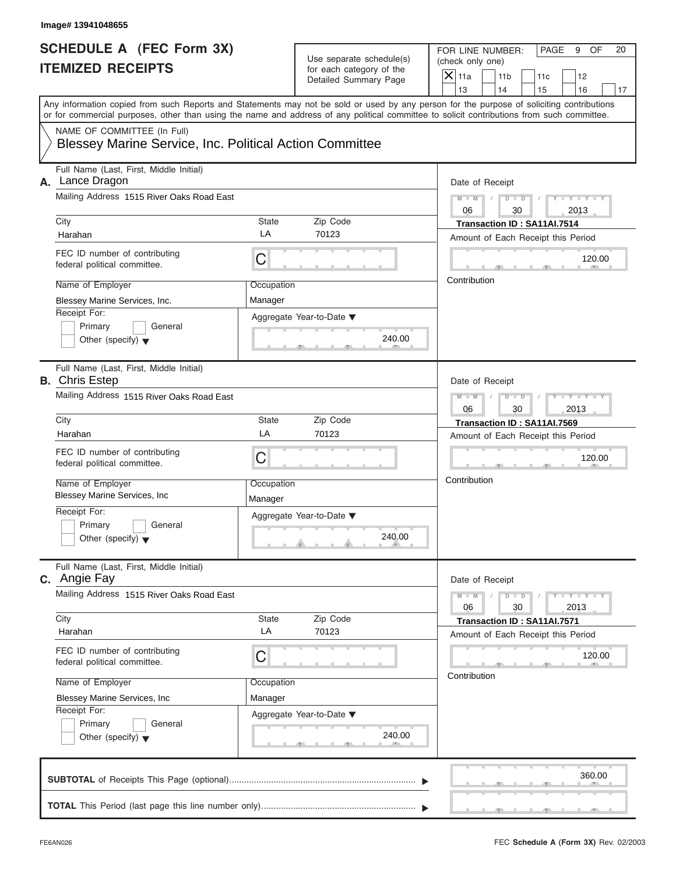|                          | FOR LINE NUMBER:           | I PAGE | 9 | OF. |
|--------------------------|----------------------------|--------|---|-----|
| Use separate schedule(s) | (check only one)           |        |   |     |
| for each category of the | $ \mathsf{X} $ 11a<br> 11b |        |   |     |
| Detailed Summary Page    |                            |        |   |     |

| Any information copied from such Reports and Statements may not be sold or used by any person for the purpose of soliciting contributions<br>or for commercial purposes, other than using the name and address of any political committee to solicit contributions from such committee.<br>NAME OF COMMITTEE (In Full)<br>Blessey Marine Service, Inc. Political Action Committee<br>Full Name (Last, First, Middle Initial)<br>Lance Dragon<br>А.<br>Mailing Address 1515 River Oaks Road East<br>City<br>Zip Code<br>State<br>LA<br>70123<br>Harahan<br>FEC ID number of contributing<br>C<br>federal political committee.<br>Name of Employer<br>Occupation<br>Blessey Marine Services, Inc.<br>Manager<br>Receipt For:<br>Aggregate Year-to-Date ▼<br>Primary<br>General<br>240.00<br>Other (specify) $\blacktriangledown$<br>Full Name (Last, First, Middle Initial) | 13<br>14<br>15<br>16<br>17<br>Date of Receipt<br>$M - M$<br>$-1$ $-1$ $-1$ $-1$ $-1$<br>$D$ $D$<br>$\sqrt{2}$<br>30<br>2013<br>06<br>Transaction ID: SA11AI.7514<br>Amount of Each Receipt this Period<br>120.00<br>Contribution                                                                                                                  |
|---------------------------------------------------------------------------------------------------------------------------------------------------------------------------------------------------------------------------------------------------------------------------------------------------------------------------------------------------------------------------------------------------------------------------------------------------------------------------------------------------------------------------------------------------------------------------------------------------------------------------------------------------------------------------------------------------------------------------------------------------------------------------------------------------------------------------------------------------------------------------|---------------------------------------------------------------------------------------------------------------------------------------------------------------------------------------------------------------------------------------------------------------------------------------------------------------------------------------------------|
|                                                                                                                                                                                                                                                                                                                                                                                                                                                                                                                                                                                                                                                                                                                                                                                                                                                                           |                                                                                                                                                                                                                                                                                                                                                   |
|                                                                                                                                                                                                                                                                                                                                                                                                                                                                                                                                                                                                                                                                                                                                                                                                                                                                           |                                                                                                                                                                                                                                                                                                                                                   |
| <b>B.</b> Chris Estep                                                                                                                                                                                                                                                                                                                                                                                                                                                                                                                                                                                                                                                                                                                                                                                                                                                     |                                                                                                                                                                                                                                                                                                                                                   |
| Mailing Address 1515 River Oaks Road East<br>City<br>Zip Code<br>State<br>LA<br>70123<br>Harahan<br>FEC ID number of contributing<br>C<br>federal political committee.<br>Name of Employer<br>Occupation<br><b>Blessey Marine Services, Inc.</b><br>Manager<br>Receipt For:<br>Aggregate Year-to-Date ▼<br>Primary<br>General<br>240.00<br>Other (specify) $\blacktriangledown$                                                                                                                                                                                                                                                                                                                                                                                                                                                                                           | Date of Receipt<br>$M - M$<br>$T - Y$<br>D<br>$\Box$<br>30<br>2013<br>06<br>Transaction ID: SA11AI.7569<br>Amount of Each Receipt this Period<br>120.00<br>Contribution                                                                                                                                                                           |
| Full Name (Last, First, Middle Initial)<br><b>C.</b> Angie Fay<br>Mailing Address 1515 River Oaks Road East<br>City<br>Zip Code<br>State<br>LA<br>70123<br>Harahan<br>FEC ID number of contributing<br>C<br>federal political committee.<br>Name of Employer<br>Occupation<br>Blessey Marine Services, Inc<br>Manager<br>Receipt For:<br>Aggregate Year-to-Date ▼<br>Primary<br>General<br>240.00<br>Other (specify) $\blacktriangledown$                                                                                                                                                                                                                                                                                                                                                                                                                                 | Date of Receipt<br>$\frac{1}{2}$ $\frac{1}{2}$ $\frac{1}{2}$ $\frac{1}{2}$ $\frac{1}{2}$ $\frac{1}{2}$ $\frac{1}{2}$ $\frac{1}{2}$ $\frac{1}{2}$ $\frac{1}{2}$ $\frac{1}{2}$ $\frac{1}{2}$ $\frac{1}{2}$<br>$M - M$<br>$D$ $D$<br>06<br>30<br>2013<br>Transaction ID: SA11AI.7571<br>Amount of Each Receipt this Period<br>120.00<br>Contribution |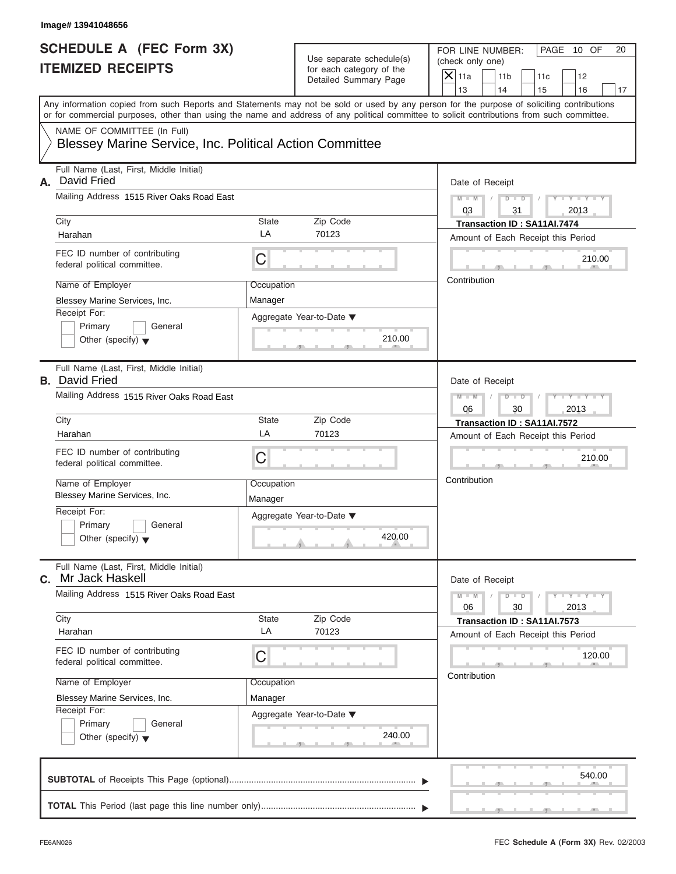|                                                   | FOR LINE NUMBER:          | PAGE | 10 OF |  |
|---------------------------------------------------|---------------------------|------|-------|--|
| Use separate schedule(s)                          | (check only one)          |      |       |  |
| for each category of the<br>Detailed Summary Page | $ \mathsf{X} $ 11a<br>11b |      |       |  |
|                                                   |                           |      |       |  |

| Image# 13941048656                                                                                                              |                       |                                                                                      |                                                                                                                                                                                                                                                                                         |
|---------------------------------------------------------------------------------------------------------------------------------|-----------------------|--------------------------------------------------------------------------------------|-----------------------------------------------------------------------------------------------------------------------------------------------------------------------------------------------------------------------------------------------------------------------------------------|
| <b>SCHEDULE A (FEC Form 3X)</b><br><b>ITEMIZED RECEIPTS</b>                                                                     |                       | Use separate schedule(s)<br>for each category of the<br><b>Detailed Summary Page</b> | FOR LINE NUMBER:<br>PAGE 10 OF<br>20<br>(check only one)<br>$X$ 11a<br>11 <sub>b</sub><br>11c<br>12<br>13<br>14<br>15<br>16<br>17                                                                                                                                                       |
| NAME OF COMMITTEE (In Full)<br><b>Blessey Marine Service, Inc. Political Action Committee</b>                                   |                       |                                                                                      | Any information copied from such Reports and Statements may not be sold or used by any person for the purpose of soliciting contributions<br>or for commercial purposes, other than using the name and address of any political committee to solicit contributions from such committee. |
| Full Name (Last, First, Middle Initial)<br>David Fried<br>А.<br>Mailing Address 1515 River Oaks Road East                       |                       |                                                                                      | Date of Receipt<br>$D$ $D$ $I$<br>$Y - Y - Y - Y - Y$<br>$M - M$<br>$\sqrt{2}$                                                                                                                                                                                                          |
| City<br>Harahan                                                                                                                 | State<br>LA           | Zip Code<br>70123                                                                    | 03<br>31<br>2013<br>Transaction ID: SA11AI.7474<br>Amount of Each Receipt this Period                                                                                                                                                                                                   |
| FEC ID number of contributing<br>federal political committee.                                                                   | С                     |                                                                                      | 210.00<br>Contribution                                                                                                                                                                                                                                                                  |
| Name of Employer<br>Blessey Marine Services, Inc.<br>Receipt For:<br>Primary<br>General<br>Other (specify) $\blacktriangledown$ | Occupation<br>Manager | Aggregate Year-to-Date ▼<br>210.00                                                   |                                                                                                                                                                                                                                                                                         |
| Full Name (Last, First, Middle Initial)<br><b>B.</b> David Fried<br>Mailing Address 1515 River Oaks Road East                   |                       |                                                                                      | Date of Receipt<br>$D - D$<br>$Y = Y = Y' - Y'$<br>$M - M$<br>$\sqrt{ }$<br>06<br>30<br>2013                                                                                                                                                                                            |
| City<br>Harahan<br>FEC ID number of contributing                                                                                | State<br>LA<br>С      | Zip Code<br>70123                                                                    | Transaction ID: SA11AI.7572<br>Amount of Each Receipt this Period                                                                                                                                                                                                                       |
| federal political committee.<br>Name of Employer<br>Blessey Marine Services, Inc.                                               | Occupation<br>Manager |                                                                                      | 210.00<br>Contribution                                                                                                                                                                                                                                                                  |
| Receipt For:<br>Primary<br>General<br>Other (specify) $\blacktriangledown$                                                      |                       | Aggregate Year-to-Date ▼<br>420.00                                                   |                                                                                                                                                                                                                                                                                         |
| Full Name (Last, First, Middle Initial)<br>Mr Jack Haskell<br>C.                                                                |                       |                                                                                      | Date of Receipt                                                                                                                                                                                                                                                                         |
| Mailing Address 1515 River Oaks Road East<br>City                                                                               | State                 | Zip Code                                                                             | $Y - Y - Y - Y - Y$<br>$M - M$<br>$D$ $\Box$ $D$<br>06<br>30<br>2013<br>Transaction ID: SA11AI.7573                                                                                                                                                                                     |
| Harahan<br>FEC ID number of contributing<br>federal political committee.                                                        | LA<br>С               | 70123                                                                                | Amount of Each Receipt this Period<br>120.00                                                                                                                                                                                                                                            |
| Name of Employer<br>Blessey Marine Services, Inc.<br>Receipt For:<br>Primary<br>General<br>Other (specify) $\blacktriangledown$ | Occupation<br>Manager | Aggregate Year-to-Date ▼<br>240.00                                                   | Contribution                                                                                                                                                                                                                                                                            |
|                                                                                                                                 |                       |                                                                                      | 540.00                                                                                                                                                                                                                                                                                  |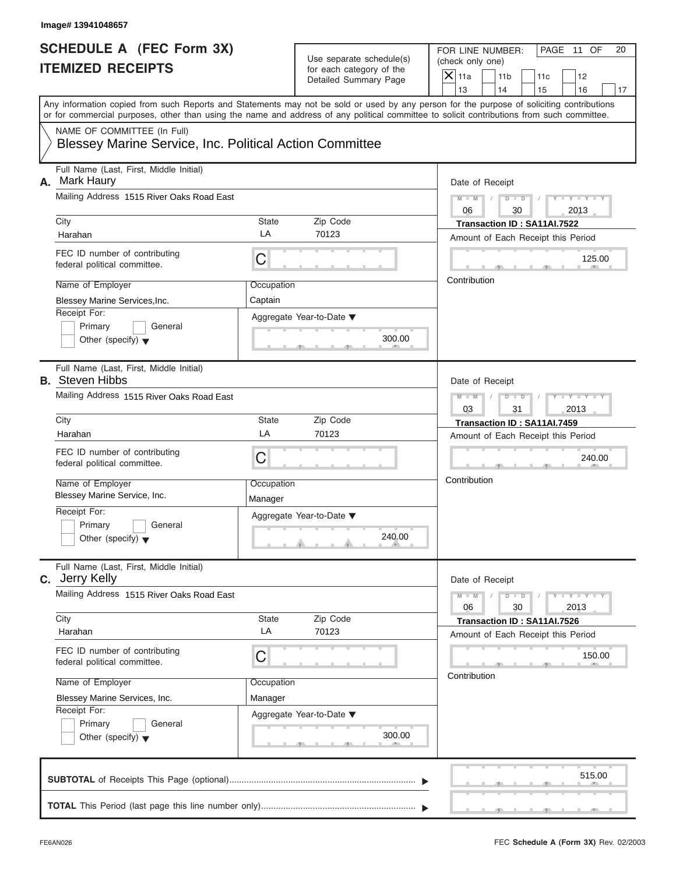|                          | PAGE 11<br>- OF<br>FOR LINE NUMBER: |  |
|--------------------------|-------------------------------------|--|
| Use separate schedule(s) | (check only one)                    |  |
| for each category of the | $ \mathsf{X} $ 11a<br>11b           |  |
| Detailed Summary Page    |                                     |  |

| Image# 13941048657                                                 |             |                                                                               |                                                                                                                                                                                                                                                                                         |
|--------------------------------------------------------------------|-------------|-------------------------------------------------------------------------------|-----------------------------------------------------------------------------------------------------------------------------------------------------------------------------------------------------------------------------------------------------------------------------------------|
| <b>SCHEDULE A (FEC Form 3X)</b><br><b>ITEMIZED RECEIPTS</b>        |             | Use separate schedule(s)<br>for each category of the<br>Detailed Summary Page | FOR LINE NUMBER:<br>PAGE 11 OF<br>20<br>(check only one)<br>$X$ 11a<br>11 <sub>b</sub><br>11c<br>12                                                                                                                                                                                     |
|                                                                    |             |                                                                               | 13<br>14<br>15<br>16<br>17                                                                                                                                                                                                                                                              |
|                                                                    |             |                                                                               | Any information copied from such Reports and Statements may not be sold or used by any person for the purpose of soliciting contributions<br>or for commercial purposes, other than using the name and address of any political committee to solicit contributions from such committee. |
| NAME OF COMMITTEE (In Full)                                        |             |                                                                               |                                                                                                                                                                                                                                                                                         |
| Blessey Marine Service, Inc. Political Action Committee            |             |                                                                               |                                                                                                                                                                                                                                                                                         |
| Full Name (Last, First, Middle Initial)<br><b>Mark Haury</b><br>А. |             |                                                                               | Date of Receipt                                                                                                                                                                                                                                                                         |
| Mailing Address 1515 River Oaks Road East                          |             |                                                                               | $M = M$ / $D = D$ /<br>$Y - Y - Y - Y - Y$<br>06<br>30<br>2013                                                                                                                                                                                                                          |
| City                                                               | State<br>LA | Zip Code<br>70123                                                             | Transaction ID: SA11AI.7522                                                                                                                                                                                                                                                             |
| Harahan                                                            |             |                                                                               | Amount of Each Receipt this Period                                                                                                                                                                                                                                                      |
| FEC ID number of contributing<br>federal political committee.      | С           |                                                                               | 125.00                                                                                                                                                                                                                                                                                  |
| Name of Employer                                                   | Occupation  |                                                                               | Contribution                                                                                                                                                                                                                                                                            |
| Blessey Marine Services, Inc.                                      | Captain     |                                                                               |                                                                                                                                                                                                                                                                                         |
| Receipt For:                                                       |             | Aggregate Year-to-Date ▼                                                      |                                                                                                                                                                                                                                                                                         |
| Primary<br>General                                                 |             |                                                                               |                                                                                                                                                                                                                                                                                         |
| Other (specify) $\blacktriangledown$                               |             | 300.00                                                                        |                                                                                                                                                                                                                                                                                         |
| Full Name (Last, First, Middle Initial)<br><b>B.</b> Steven Hibbs  |             |                                                                               | Date of Receipt                                                                                                                                                                                                                                                                         |
| Mailing Address 1515 River Oaks Road East                          |             |                                                                               | $D$ $D$<br>$Y = Y = Y' - Y'$<br>$M - M$<br>$\Box$                                                                                                                                                                                                                                       |
|                                                                    |             |                                                                               | 03<br>31<br>2013                                                                                                                                                                                                                                                                        |
| City                                                               | State       | Zip Code                                                                      | Transaction ID: SA11AI.7459                                                                                                                                                                                                                                                             |
| Harahan                                                            | LA          | 70123                                                                         | Amount of Each Receipt this Period                                                                                                                                                                                                                                                      |
| FEC ID number of contributing<br>federal political committee.      | С           |                                                                               | 240.00                                                                                                                                                                                                                                                                                  |
| Name of Employer                                                   | Occupation  |                                                                               | Contribution                                                                                                                                                                                                                                                                            |
| Blessey Marine Service, Inc.                                       | Manager     |                                                                               |                                                                                                                                                                                                                                                                                         |
| Receipt For:                                                       |             | Aggregate Year-to-Date ▼                                                      |                                                                                                                                                                                                                                                                                         |
| Primary<br>General                                                 |             |                                                                               |                                                                                                                                                                                                                                                                                         |
| Other (specify) $\blacktriangledown$                               |             | 240.00                                                                        |                                                                                                                                                                                                                                                                                         |
| Full Name (Last, First, Middle Initial)<br>C. Jerry Kelly          |             |                                                                               | Date of Receipt                                                                                                                                                                                                                                                                         |
| Mailing Address 1515 River Oaks Road East                          |             |                                                                               | $Y - Y - Y - Y - Y$<br>$M - M$<br>$D$ $\Box$ $D$<br>06<br>30<br>2013                                                                                                                                                                                                                    |
| City                                                               | State       | Zip Code                                                                      | Transaction ID: SA11AI.7526                                                                                                                                                                                                                                                             |
| Harahan                                                            | LA          | 70123                                                                         | Amount of Each Receipt this Period                                                                                                                                                                                                                                                      |
| FEC ID number of contributing<br>federal political committee.      | С           |                                                                               | 150.00                                                                                                                                                                                                                                                                                  |
| Name of Employer                                                   | Occupation  |                                                                               | Contribution                                                                                                                                                                                                                                                                            |
| Blessey Marine Services, Inc.                                      | Manager     |                                                                               |                                                                                                                                                                                                                                                                                         |
| Receipt For:                                                       |             | Aggregate Year-to-Date ▼                                                      |                                                                                                                                                                                                                                                                                         |
| Primary<br>General                                                 |             |                                                                               |                                                                                                                                                                                                                                                                                         |
| Other (specify) $\blacktriangledown$                               |             | 300.00                                                                        |                                                                                                                                                                                                                                                                                         |
|                                                                    |             |                                                                               | 515.00                                                                                                                                                                                                                                                                                  |
|                                                                    |             |                                                                               |                                                                                                                                                                                                                                                                                         |
|                                                                    |             |                                                                               |                                                                                                                                                                                                                                                                                         |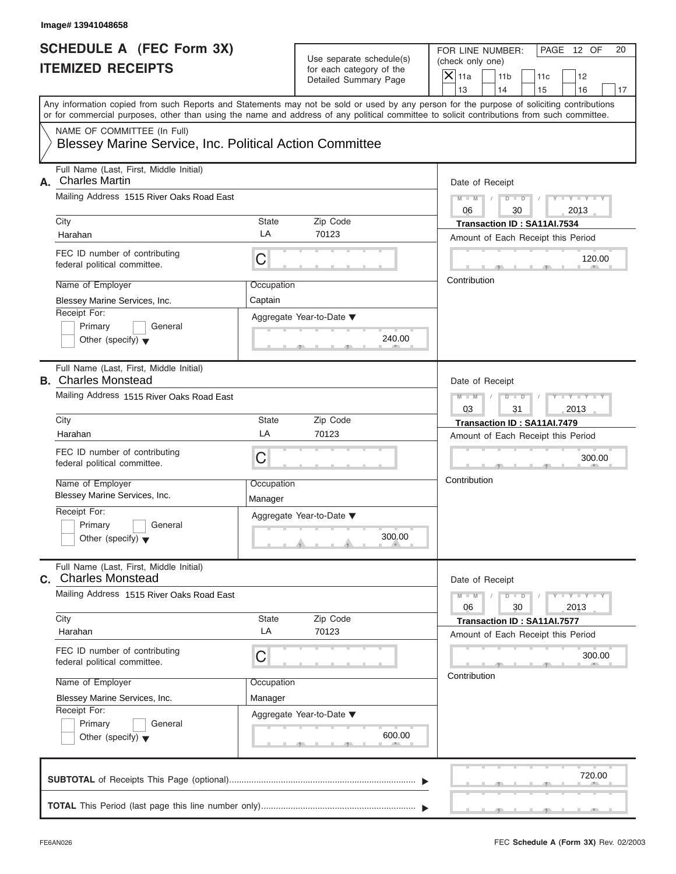|                          | FOR LINE NUMBER:                      | PAGE 12 OF |
|--------------------------|---------------------------------------|------------|
| Use separate schedule(s) | (check only one)                      |            |
| for each category of the | $ \mathsf{X} $ 11a<br>11 <sub>b</sub> |            |
| Detailed Summary Page    |                                       |            |

| <b>ITEMIZED RECEIPTS</b><br>or for commercial purposes, other than using the name and address of any political committee to solicit contributions from such committee.<br>NAME OF COMMITTEE (In Full) | for each category of the<br>Detailed Summary Page | $X$ 11a<br>11 <sub>b</sub><br>11c<br>12                                                                                                                     |
|-------------------------------------------------------------------------------------------------------------------------------------------------------------------------------------------------------|---------------------------------------------------|-------------------------------------------------------------------------------------------------------------------------------------------------------------|
|                                                                                                                                                                                                       |                                                   | 13<br>14                                                                                                                                                    |
|                                                                                                                                                                                                       |                                                   | 15<br>16<br>17<br>Any information copied from such Reports and Statements may not be sold or used by any person for the purpose of soliciting contributions |
| Blessey Marine Service, Inc. Political Action Committee                                                                                                                                               |                                                   |                                                                                                                                                             |
| Full Name (Last, First, Middle Initial)<br><b>Charles Martin</b><br>А.                                                                                                                                |                                                   | Date of Receipt                                                                                                                                             |
| Mailing Address 1515 River Oaks Road East                                                                                                                                                             |                                                   | $M = M \qquad / \qquad D = D \qquad /$<br>$Y - Y - Y - Y - Y$<br>06<br>30<br>2013                                                                           |
| City<br>Harahan                                                                                                                                                                                       | Zip Code<br>State<br>LA<br>70123                  | Transaction ID: SA11AI.7534<br>Amount of Each Receipt this Period                                                                                           |
| FEC ID number of contributing<br>federal political committee.                                                                                                                                         | C                                                 | 120.00                                                                                                                                                      |
| Name of Employer<br>Blessey Marine Services, Inc.<br>Receipt For:                                                                                                                                     | Occupation<br>Captain                             | Contribution                                                                                                                                                |
| Primary<br>General<br>Other (specify) $\blacktriangledown$                                                                                                                                            | Aggregate Year-to-Date ▼<br>240.00                |                                                                                                                                                             |
| Full Name (Last, First, Middle Initial)<br><b>B.</b> Charles Monstead                                                                                                                                 |                                                   | Date of Receipt                                                                                                                                             |
| Mailing Address 1515 River Oaks Road East                                                                                                                                                             |                                                   | $Y = Y = Y - Y$<br>$M - M$<br>$D$ $D$<br>$\Box$<br>03<br>31<br>2013                                                                                         |
| City<br>Harahan                                                                                                                                                                                       | State<br>Zip Code<br>LA<br>70123                  | Transaction ID: SA11AI.7479<br>Amount of Each Receipt this Period                                                                                           |
| FEC ID number of contributing<br>federal political committee.                                                                                                                                         | C                                                 | 300.00                                                                                                                                                      |
| Name of Employer<br>Blessey Marine Services, Inc.                                                                                                                                                     | Occupation<br>Manager                             | Contribution                                                                                                                                                |
| Receipt For:<br>Primary<br>General<br>Other (specify) $\blacktriangledown$                                                                                                                            | Aggregate Year-to-Date ▼<br>300.00                |                                                                                                                                                             |
| Full Name (Last, First, Middle Initial)<br><b>c.</b> Charles Monstead                                                                                                                                 |                                                   | Date of Receipt                                                                                                                                             |
| Mailing Address 1515 River Oaks Road East                                                                                                                                                             |                                                   | $M - M$<br>$Y = Y$<br>$D$ $D$<br>06<br>30<br>2013                                                                                                           |
| City<br>Harahan                                                                                                                                                                                       | Zip Code<br><b>State</b><br>LA<br>70123           | Transaction ID: SA11AI.7577<br>Amount of Each Receipt this Period                                                                                           |
| FEC ID number of contributing<br>federal political committee.                                                                                                                                         | С                                                 | 300.00<br>Contribution                                                                                                                                      |
| Name of Employer<br>Blessey Marine Services, Inc.                                                                                                                                                     | Occupation<br>Manager                             |                                                                                                                                                             |
| Receipt For:<br>Primary<br>General<br>Other (specify) $\blacktriangledown$                                                                                                                            | Aggregate Year-to-Date ▼<br>600.00                |                                                                                                                                                             |
|                                                                                                                                                                                                       |                                                   | 720.00                                                                                                                                                      |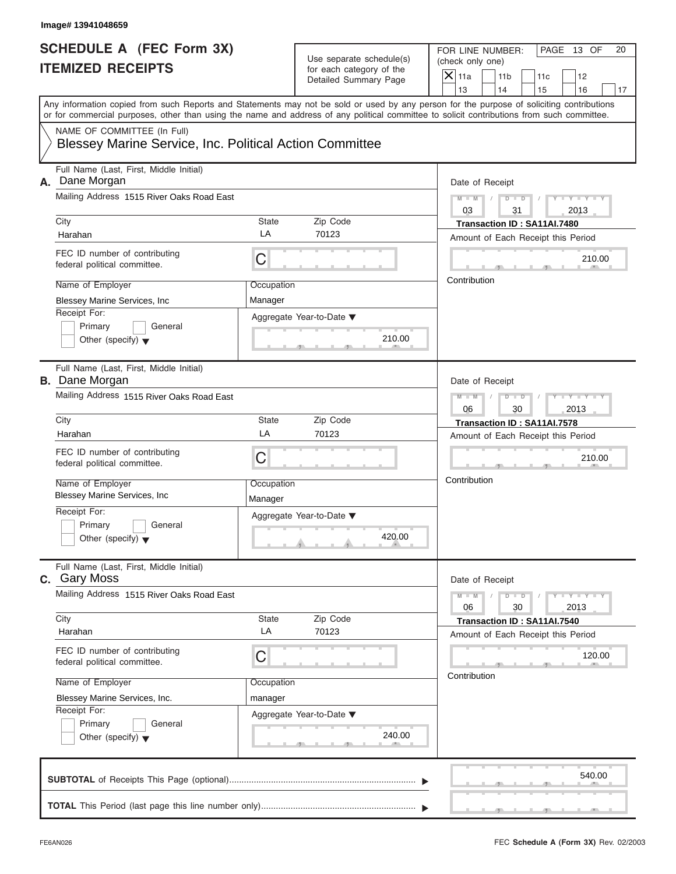|                          | FOR LINE NUMBER:          | PAGE 13 OF |  |
|--------------------------|---------------------------|------------|--|
| Use separate schedule(s) | (check only one)          |            |  |
| for each category of the | $ \mathsf{X} $ 11a<br>11b | 11c        |  |
| Detailed Summary Page    |                           |            |  |

| Image# 13941048659                                               |                       |                                                      |                                                                                                                                                                                                                                                                                         |
|------------------------------------------------------------------|-----------------------|------------------------------------------------------|-----------------------------------------------------------------------------------------------------------------------------------------------------------------------------------------------------------------------------------------------------------------------------------------|
| <b>SCHEDULE A (FEC Form 3X)</b><br><b>ITEMIZED RECEIPTS</b>      |                       | Use separate schedule(s)<br>for each category of the | FOR LINE NUMBER:<br>PAGE 13 OF<br>20<br>(check only one)<br>$X$ 11a                                                                                                                                                                                                                     |
|                                                                  |                       | <b>Detailed Summary Page</b>                         | 11 <sub>b</sub><br>11c<br>12<br>13<br>14<br>15<br>16<br>17                                                                                                                                                                                                                              |
|                                                                  |                       |                                                      | Any information copied from such Reports and Statements may not be sold or used by any person for the purpose of soliciting contributions<br>or for commercial purposes, other than using the name and address of any political committee to solicit contributions from such committee. |
| NAME OF COMMITTEE (In Full)                                      |                       |                                                      |                                                                                                                                                                                                                                                                                         |
| Blessey Marine Service, Inc. Political Action Committee          |                       |                                                      |                                                                                                                                                                                                                                                                                         |
| Full Name (Last, First, Middle Initial)<br>Dane Morgan<br>А.     |                       |                                                      | Date of Receipt                                                                                                                                                                                                                                                                         |
| Mailing Address 1515 River Oaks Road East                        |                       |                                                      | $Y - Y - Y - Y - Y$<br>$M - M$<br>$\sqrt{2}$<br>03<br>31<br>2013                                                                                                                                                                                                                        |
| City                                                             | State<br>LA           | Zip Code                                             | Transaction ID: SA11AI.7480                                                                                                                                                                                                                                                             |
| Harahan                                                          |                       | 70123                                                | Amount of Each Receipt this Period                                                                                                                                                                                                                                                      |
| FEC ID number of contributing<br>federal political committee.    | С                     |                                                      | 210.00                                                                                                                                                                                                                                                                                  |
| Name of Employer                                                 | Occupation            |                                                      | Contribution                                                                                                                                                                                                                                                                            |
| Blessey Marine Services, Inc                                     | Manager               |                                                      |                                                                                                                                                                                                                                                                                         |
| Receipt For:                                                     |                       | Aggregate Year-to-Date ▼                             |                                                                                                                                                                                                                                                                                         |
| Primary<br>General                                               |                       |                                                      |                                                                                                                                                                                                                                                                                         |
| Other (specify) $\blacktriangledown$                             |                       | 210.00                                               |                                                                                                                                                                                                                                                                                         |
| Full Name (Last, First, Middle Initial)<br><b>B.</b> Dane Morgan |                       |                                                      | Date of Receipt                                                                                                                                                                                                                                                                         |
| Mailing Address 1515 River Oaks Road East                        |                       |                                                      | $D$ $D$<br>$Y = Y = Y' - Y'$<br>$M - M$<br>$\Box$                                                                                                                                                                                                                                       |
|                                                                  |                       |                                                      | 06<br>30<br>2013                                                                                                                                                                                                                                                                        |
| City                                                             | State                 | Zip Code                                             | Transaction ID: SA11AI.7578                                                                                                                                                                                                                                                             |
| Harahan                                                          | LA                    | 70123                                                | Amount of Each Receipt this Period                                                                                                                                                                                                                                                      |
| FEC ID number of contributing<br>federal political committee.    | С                     |                                                      | 210.00                                                                                                                                                                                                                                                                                  |
| Name of Employer<br><b>Blessey Marine Services, Inc.</b>         | Occupation<br>Manager |                                                      | Contribution                                                                                                                                                                                                                                                                            |
| Receipt For:                                                     |                       |                                                      |                                                                                                                                                                                                                                                                                         |
| Primary<br>General                                               |                       | Aggregate Year-to-Date ▼                             |                                                                                                                                                                                                                                                                                         |
| Other (specify) $\blacktriangledown$                             |                       | 420.00                                               |                                                                                                                                                                                                                                                                                         |
| Full Name (Last, First, Middle Initial)<br>C. Gary Moss          |                       |                                                      | Date of Receipt                                                                                                                                                                                                                                                                         |
| Mailing Address 1515 River Oaks Road East                        |                       |                                                      | $Y - Y - Y - Y - Y$<br>$M - M$<br>$D$ $\Box$ $D$<br>06<br>30<br>2013                                                                                                                                                                                                                    |
| City                                                             | State                 | Zip Code                                             | Transaction ID: SA11AI.7540                                                                                                                                                                                                                                                             |
| Harahan                                                          | LA                    | 70123                                                | Amount of Each Receipt this Period                                                                                                                                                                                                                                                      |
| FEC ID number of contributing<br>federal political committee.    | С                     |                                                      | 120.00                                                                                                                                                                                                                                                                                  |
| Name of Employer                                                 | Occupation            |                                                      | Contribution                                                                                                                                                                                                                                                                            |
| Blessey Marine Services, Inc.                                    | manager               |                                                      |                                                                                                                                                                                                                                                                                         |
| Receipt For:                                                     |                       | Aggregate Year-to-Date ▼                             |                                                                                                                                                                                                                                                                                         |
| Primary<br>General                                               |                       |                                                      |                                                                                                                                                                                                                                                                                         |
| Other (specify) $\blacktriangledown$                             |                       | 240.00                                               |                                                                                                                                                                                                                                                                                         |
|                                                                  |                       |                                                      | 540.00                                                                                                                                                                                                                                                                                  |
|                                                                  |                       |                                                      |                                                                                                                                                                                                                                                                                         |
|                                                                  |                       |                                                      |                                                                                                                                                                                                                                                                                         |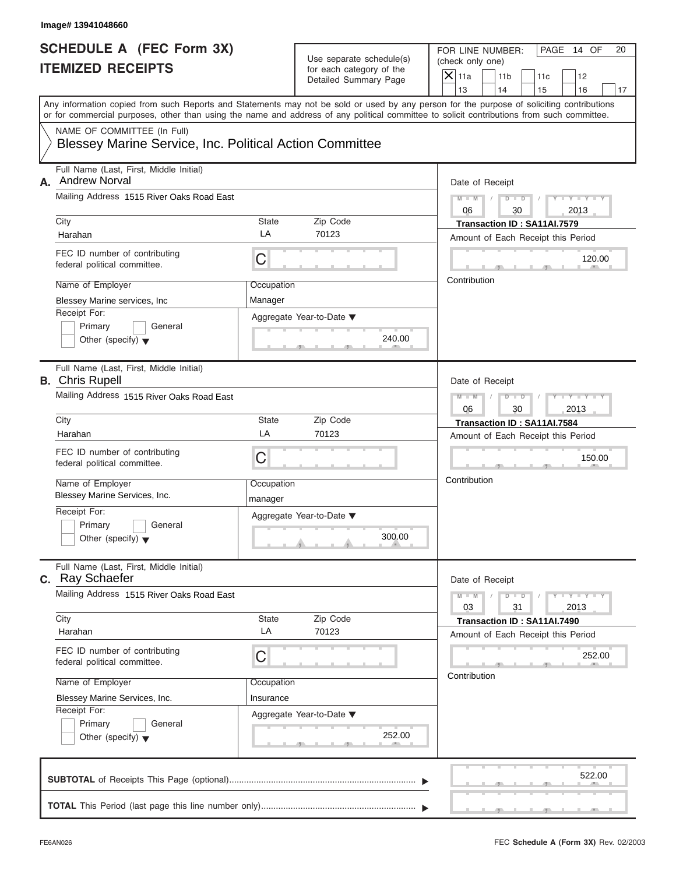|                                                   | FOR LINE NUMBER:          | <b>PAGE</b> | 14 OF |  |
|---------------------------------------------------|---------------------------|-------------|-------|--|
| Use separate schedule(s)                          | (check only one)          |             |       |  |
| for each category of the<br>Detailed Summary Page | $ \mathsf{X} $ 11a<br>11b |             |       |  |
|                                                   |                           |             |       |  |

| <b>SCHEDULE A (FEC Form 3X)</b>                                       | Use separate schedule(s) | FOR LINE NUMBER:<br>PAGE 14 OF                                                                                                                                                                                                                                                          | 20                          |
|-----------------------------------------------------------------------|--------------------------|-----------------------------------------------------------------------------------------------------------------------------------------------------------------------------------------------------------------------------------------------------------------------------------------|-----------------------------|
| <b>ITEMIZED RECEIPTS</b>                                              | for each category of the | (check only one)                                                                                                                                                                                                                                                                        |                             |
|                                                                       | Detailed Summary Page    | $\overline{X}$ 11a<br>11 <sub>b</sub><br>11c                                                                                                                                                                                                                                            | 12                          |
|                                                                       |                          | 13<br>14<br>15                                                                                                                                                                                                                                                                          | 16<br>17                    |
|                                                                       |                          | Any information copied from such Reports and Statements may not be sold or used by any person for the purpose of soliciting contributions<br>or for commercial purposes, other than using the name and address of any political committee to solicit contributions from such committee. |                             |
| NAME OF COMMITTEE (In Full)                                           |                          |                                                                                                                                                                                                                                                                                         |                             |
| Blessey Marine Service, Inc. Political Action Committee               |                          |                                                                                                                                                                                                                                                                                         |                             |
| Full Name (Last, First, Middle Initial)<br><b>Andrew Norval</b><br>А. |                          | Date of Receipt                                                                                                                                                                                                                                                                         |                             |
| Mailing Address 1515 River Oaks Road East                             |                          | $M - M$<br>$\sqrt{2}$<br>06<br>30                                                                                                                                                                                                                                                       | $Y - Y - Y - Y - Y$<br>2013 |
| City                                                                  | <b>State</b><br>Zip Code | Transaction ID: SA11AI.7579                                                                                                                                                                                                                                                             |                             |
| Harahan                                                               | LA<br>70123              | Amount of Each Receipt this Period                                                                                                                                                                                                                                                      |                             |
| FEC ID number of contributing<br>federal political committee.         | C                        |                                                                                                                                                                                                                                                                                         | 120.00                      |
| Name of Employer                                                      | Occupation               | Contribution                                                                                                                                                                                                                                                                            |                             |
| Blessey Marine services, Inc.                                         | Manager                  |                                                                                                                                                                                                                                                                                         |                             |
| Receipt For:                                                          |                          |                                                                                                                                                                                                                                                                                         |                             |
| Primary<br>General                                                    | Aggregate Year-to-Date ▼ |                                                                                                                                                                                                                                                                                         |                             |
| Other (specify) $\blacktriangledown$                                  |                          | 240.00                                                                                                                                                                                                                                                                                  |                             |
|                                                                       |                          |                                                                                                                                                                                                                                                                                         |                             |
| Full Name (Last, First, Middle Initial)<br><b>B.</b> Chris Rupell     |                          | Date of Receipt                                                                                                                                                                                                                                                                         |                             |
| Mailing Address 1515 River Oaks Road East                             |                          |                                                                                                                                                                                                                                                                                         |                             |
|                                                                       |                          | $M - M$<br>$D - D$<br>$\sqrt{ }$<br>06<br>30<br>2013                                                                                                                                                                                                                                    | Y I Y I Y I Y               |
| City                                                                  | <b>State</b><br>Zip Code | Transaction ID: SA11AI.7584                                                                                                                                                                                                                                                             |                             |
| Harahan                                                               | LA<br>70123              | Amount of Each Receipt this Period                                                                                                                                                                                                                                                      |                             |
|                                                                       |                          |                                                                                                                                                                                                                                                                                         |                             |
| FEC ID number of contributing<br>federal political committee.         | C                        |                                                                                                                                                                                                                                                                                         | 150.00                      |
|                                                                       |                          |                                                                                                                                                                                                                                                                                         |                             |
| Name of Employer                                                      | Occupation               | Contribution                                                                                                                                                                                                                                                                            |                             |
| Blessey Marine Services, Inc.                                         | manager                  |                                                                                                                                                                                                                                                                                         |                             |
| Receipt For:                                                          | Aggregate Year-to-Date ▼ |                                                                                                                                                                                                                                                                                         |                             |
| Primary<br>General                                                    |                          |                                                                                                                                                                                                                                                                                         |                             |
| Other (specify) $\blacktriangledown$                                  |                          | 300.00                                                                                                                                                                                                                                                                                  |                             |
| Full Name (Last, First, Middle Initial)                               |                          |                                                                                                                                                                                                                                                                                         |                             |
| c. Ray Schaefer                                                       |                          | Date of Receipt                                                                                                                                                                                                                                                                         |                             |
| Mailing Address 1515 River Oaks Road East                             |                          | $M - M$<br>$Y - Y - Y - Y - I$<br>$D$ $D$<br>03<br>31<br>2013                                                                                                                                                                                                                           |                             |
|                                                                       |                          |                                                                                                                                                                                                                                                                                         |                             |
| City                                                                  | Zip Code<br>State        | Transaction ID: SA11AI.7490                                                                                                                                                                                                                                                             |                             |
| Harahan                                                               | LA<br>70123              | Amount of Each Receipt this Period                                                                                                                                                                                                                                                      |                             |
| FEC ID number of contributing                                         |                          |                                                                                                                                                                                                                                                                                         | 252.00                      |
| federal political committee.                                          | C                        |                                                                                                                                                                                                                                                                                         |                             |
| Name of Employer                                                      | Occupation               | Contribution                                                                                                                                                                                                                                                                            |                             |
|                                                                       |                          |                                                                                                                                                                                                                                                                                         |                             |
| Blessey Marine Services, Inc.<br>Receipt For:                         | Insurance                |                                                                                                                                                                                                                                                                                         |                             |
| Primary<br>General                                                    | Aggregate Year-to-Date ▼ |                                                                                                                                                                                                                                                                                         |                             |
|                                                                       |                          | 252.00                                                                                                                                                                                                                                                                                  |                             |
| Other (specify) $\blacktriangledown$                                  |                          |                                                                                                                                                                                                                                                                                         |                             |
|                                                                       |                          |                                                                                                                                                                                                                                                                                         |                             |
|                                                                       |                          |                                                                                                                                                                                                                                                                                         | 522.00                      |
|                                                                       |                          |                                                                                                                                                                                                                                                                                         |                             |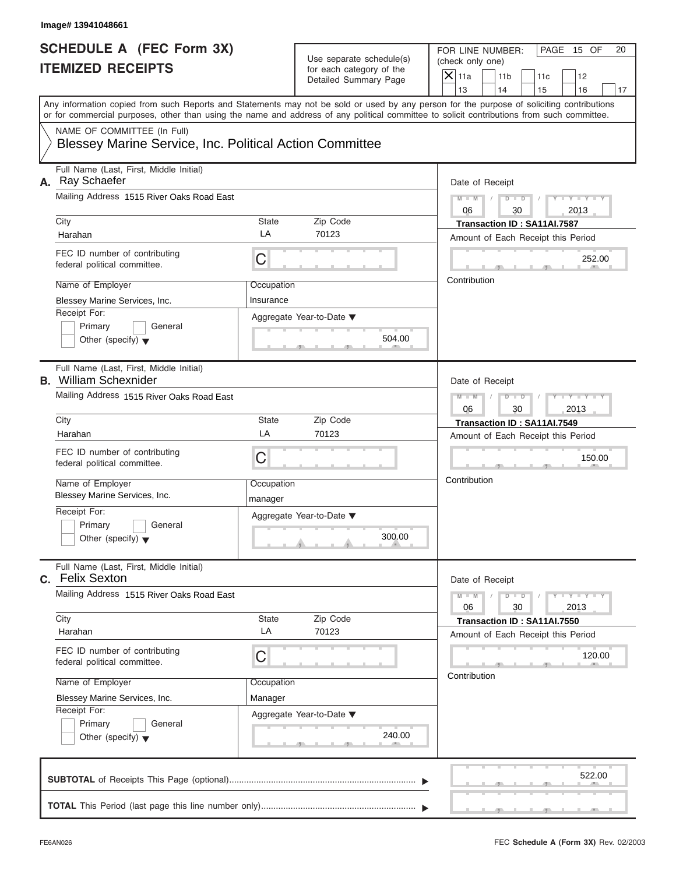|                          | PAGE 15 OF<br>FOR LINE NUMBER: |  |
|--------------------------|--------------------------------|--|
| Use separate schedule(s) | (check only one)               |  |
| for each category of the | $ \mathsf{X} $ 11a<br>11b      |  |
| Detailed Summary Page    |                                |  |

| <b>SCHEDULE A (FEC Form 3X)</b><br><b>ITEMIZED RECEIPTS</b>             |                    | Use separate schedule(s)<br>for each category of the | FOR LINE NUMBER:<br>PAGE 15 OF<br>20<br>(check only one)                                                                                                                                                                                                                                                        |  |
|-------------------------------------------------------------------------|--------------------|------------------------------------------------------|-----------------------------------------------------------------------------------------------------------------------------------------------------------------------------------------------------------------------------------------------------------------------------------------------------------------|--|
|                                                                         |                    | Detailed Summary Page                                | $X$ 11a<br>11 <sub>b</sub><br>11c<br>12<br>14                                                                                                                                                                                                                                                                   |  |
|                                                                         |                    |                                                      | 13<br>15<br>16<br>17<br>Any information copied from such Reports and Statements may not be sold or used by any person for the purpose of soliciting contributions<br>or for commercial purposes, other than using the name and address of any political committee to solicit contributions from such committee. |  |
| NAME OF COMMITTEE (In Full)                                             |                    |                                                      |                                                                                                                                                                                                                                                                                                                 |  |
| Blessey Marine Service, Inc. Political Action Committee                 |                    |                                                      |                                                                                                                                                                                                                                                                                                                 |  |
| Full Name (Last, First, Middle Initial)<br>A. Ray Schaefer              |                    |                                                      | Date of Receipt                                                                                                                                                                                                                                                                                                 |  |
| Mailing Address 1515 River Oaks Road East                               |                    |                                                      | $D$ $D$ $I$<br>$Y - Y - Y - Y - Y$<br>$M - M$<br>$\sqrt{2}$<br>06<br>30<br>2013                                                                                                                                                                                                                                 |  |
| City                                                                    | <b>State</b><br>LA | Zip Code                                             | Transaction ID: SA11AI.7587                                                                                                                                                                                                                                                                                     |  |
| Harahan                                                                 |                    | 70123                                                | Amount of Each Receipt this Period                                                                                                                                                                                                                                                                              |  |
| FEC ID number of contributing<br>federal political committee.           | С                  |                                                      | 252.00                                                                                                                                                                                                                                                                                                          |  |
| Name of Employer                                                        | Occupation         |                                                      | Contribution                                                                                                                                                                                                                                                                                                    |  |
| Blessey Marine Services, Inc.                                           | Insurance          |                                                      |                                                                                                                                                                                                                                                                                                                 |  |
| Receipt For:                                                            |                    | Aggregate Year-to-Date ▼                             |                                                                                                                                                                                                                                                                                                                 |  |
| Primary<br>General                                                      |                    |                                                      |                                                                                                                                                                                                                                                                                                                 |  |
| Other (specify) $\blacktriangledown$                                    |                    | 504.00                                               |                                                                                                                                                                                                                                                                                                                 |  |
| Full Name (Last, First, Middle Initial)<br><b>B.</b> William Schexnider |                    |                                                      | Date of Receipt                                                                                                                                                                                                                                                                                                 |  |
| Mailing Address 1515 River Oaks Road East                               |                    |                                                      | $Y = Y = Y' - Y'$<br>$M - M$<br>$D - D$                                                                                                                                                                                                                                                                         |  |
|                                                                         |                    |                                                      | 06<br>30<br>2013                                                                                                                                                                                                                                                                                                |  |
| City                                                                    | <b>State</b>       | Zip Code                                             | Transaction ID: SA11AI.7549                                                                                                                                                                                                                                                                                     |  |
| Harahan                                                                 | LA                 | 70123                                                | Amount of Each Receipt this Period                                                                                                                                                                                                                                                                              |  |
| FEC ID number of contributing<br>federal political committee.           | C                  |                                                      | 150.00                                                                                                                                                                                                                                                                                                          |  |
| Name of Employer<br>Blessey Marine Services, Inc.                       | Occupation         |                                                      | Contribution                                                                                                                                                                                                                                                                                                    |  |
| Receipt For:                                                            | manager            |                                                      |                                                                                                                                                                                                                                                                                                                 |  |
| Primary<br>General                                                      |                    | Aggregate Year-to-Date ▼                             |                                                                                                                                                                                                                                                                                                                 |  |
| Other (specify) $\blacktriangledown$                                    |                    | 300.00                                               |                                                                                                                                                                                                                                                                                                                 |  |
| Full Name (Last, First, Middle Initial)<br>C. Felix Sexton              |                    |                                                      | Date of Receipt                                                                                                                                                                                                                                                                                                 |  |
| Mailing Address 1515 River Oaks Road East                               |                    |                                                      | $M - M$<br>$Y = Y$<br>$D$ $D$<br>06<br>30<br>2013                                                                                                                                                                                                                                                               |  |
| City                                                                    | State              | Zip Code                                             | Transaction ID: SA11AI.7550                                                                                                                                                                                                                                                                                     |  |
| Harahan                                                                 | LA                 | 70123                                                | Amount of Each Receipt this Period                                                                                                                                                                                                                                                                              |  |
| FEC ID number of contributing<br>federal political committee.           | С                  |                                                      | 120.00                                                                                                                                                                                                                                                                                                          |  |
| Name of Employer                                                        | Occupation         |                                                      | Contribution                                                                                                                                                                                                                                                                                                    |  |
| Blessey Marine Services, Inc.                                           | Manager            |                                                      |                                                                                                                                                                                                                                                                                                                 |  |
| Receipt For:                                                            |                    | Aggregate Year-to-Date ▼                             |                                                                                                                                                                                                                                                                                                                 |  |
| Primary<br>General                                                      |                    |                                                      |                                                                                                                                                                                                                                                                                                                 |  |
| Other (specify) $\blacktriangledown$                                    |                    | 240.00                                               |                                                                                                                                                                                                                                                                                                                 |  |
|                                                                         |                    |                                                      | 522.00                                                                                                                                                                                                                                                                                                          |  |
|                                                                         |                    |                                                      |                                                                                                                                                                                                                                                                                                                 |  |
|                                                                         |                    |                                                      |                                                                                                                                                                                                                                                                                                                 |  |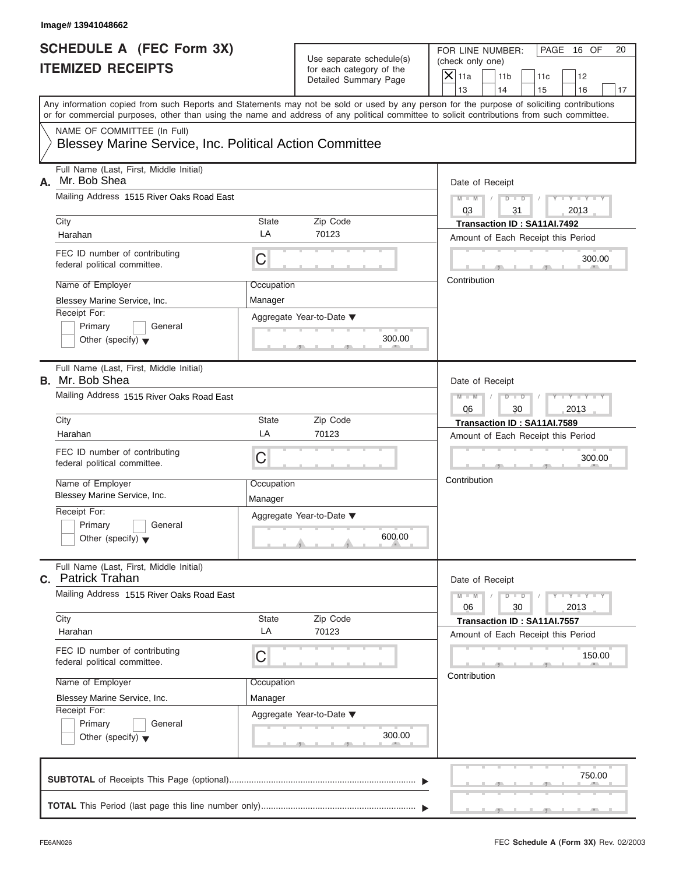|                          | FOR LINE NUMBER:          | l PAGE<br>16 OF |
|--------------------------|---------------------------|-----------------|
| Use separate schedule(s) | (check only one)          |                 |
| for each category of the | $ \mathsf{X} $ 11a<br>11b |                 |
| Detailed Summary Page    |                           |                 |

| <b>SCHEDULE A (FEC Form 3X)</b>                                                        |                          |                                                   | FOR LINE NUMBER:<br>PAGE 16 OF<br>20                                                                                                                                                                                                                                                    |
|----------------------------------------------------------------------------------------|--------------------------|---------------------------------------------------|-----------------------------------------------------------------------------------------------------------------------------------------------------------------------------------------------------------------------------------------------------------------------------------------|
| <b>ITEMIZED RECEIPTS</b>                                                               |                          | Use separate schedule(s)                          | (check only one)                                                                                                                                                                                                                                                                        |
|                                                                                        |                          | for each category of the<br>Detailed Summary Page | $\overline{X}$ 11a<br>11 <sub>b</sub><br>11c<br>12                                                                                                                                                                                                                                      |
|                                                                                        |                          |                                                   | 13<br>14<br>15<br>16<br>17                                                                                                                                                                                                                                                              |
|                                                                                        |                          |                                                   | Any information copied from such Reports and Statements may not be sold or used by any person for the purpose of soliciting contributions<br>or for commercial purposes, other than using the name and address of any political committee to solicit contributions from such committee. |
| NAME OF COMMITTEE (In Full)<br>Blessey Marine Service, Inc. Political Action Committee |                          |                                                   |                                                                                                                                                                                                                                                                                         |
| Full Name (Last, First, Middle Initial)<br>Mr. Bob Shea<br>А.                          |                          |                                                   | Date of Receipt                                                                                                                                                                                                                                                                         |
| Mailing Address 1515 River Oaks Road East                                              |                          |                                                   | $D$ $D$ $I$<br>$Y - Y - Y - Y - Y$<br>$M - M$<br>$\sqrt{2}$<br>03<br>31<br>2013                                                                                                                                                                                                         |
| City                                                                                   | <b>State</b>             | Zip Code                                          | Transaction ID: SA11AI.7492                                                                                                                                                                                                                                                             |
| Harahan                                                                                | LA                       | 70123                                             | Amount of Each Receipt this Period                                                                                                                                                                                                                                                      |
| FEC ID number of contributing<br>federal political committee.                          | $\mathsf C$              |                                                   | 300.00                                                                                                                                                                                                                                                                                  |
| Name of Employer                                                                       | Occupation               |                                                   | Contribution                                                                                                                                                                                                                                                                            |
| Blessey Marine Service, Inc.                                                           | Manager                  |                                                   |                                                                                                                                                                                                                                                                                         |
| Receipt For:<br>Primary<br>General<br>Other (specify) $\blacktriangledown$             | Aggregate Year-to-Date ▼ | 300.00                                            |                                                                                                                                                                                                                                                                                         |
| Full Name (Last, First, Middle Initial)<br><b>B.</b> Mr. Bob Shea                      |                          |                                                   | Date of Receipt                                                                                                                                                                                                                                                                         |
| Mailing Address 1515 River Oaks Road East                                              |                          |                                                   | Y I Y I Y I Y<br>$M - M$<br>$D - D$<br>$\sqrt{ }$                                                                                                                                                                                                                                       |
|                                                                                        |                          |                                                   | 2013<br>06<br>30                                                                                                                                                                                                                                                                        |
| City                                                                                   | <b>State</b>             | Zip Code                                          | Transaction ID: SA11AI.7589                                                                                                                                                                                                                                                             |
| Harahan                                                                                | LA                       | 70123                                             | Amount of Each Receipt this Period                                                                                                                                                                                                                                                      |
| FEC ID number of contributing<br>federal political committee.                          | C                        |                                                   | 300.00                                                                                                                                                                                                                                                                                  |
| Name of Employer<br>Blessey Marine Service, Inc.                                       | Occupation<br>Manager    |                                                   | Contribution                                                                                                                                                                                                                                                                            |
| Receipt For:<br>Primary<br>General<br>Other (specify) $\blacktriangledown$             |                          | Aggregate Year-to-Date ▼<br>600.00                |                                                                                                                                                                                                                                                                                         |
| Full Name (Last, First, Middle Initial)<br><b>C.</b> Patrick Trahan                    |                          |                                                   | Date of Receipt                                                                                                                                                                                                                                                                         |
| Mailing Address 1515 River Oaks Road East                                              |                          |                                                   | $Y - Y - Y - Y - Y$<br>$M - M$<br>$D$ $D$<br>06<br>30<br>2013                                                                                                                                                                                                                           |
| City                                                                                   | State                    | Zip Code                                          | Transaction ID: SA11AI.7557                                                                                                                                                                                                                                                             |
| Harahan                                                                                | LA                       | 70123                                             | Amount of Each Receipt this Period                                                                                                                                                                                                                                                      |
| FEC ID number of contributing<br>federal political committee.                          | C                        |                                                   | 150.00                                                                                                                                                                                                                                                                                  |
| Name of Employer                                                                       | Occupation               |                                                   | Contribution                                                                                                                                                                                                                                                                            |
| Blessey Marine Service, Inc.                                                           | Manager                  |                                                   |                                                                                                                                                                                                                                                                                         |
| Receipt For:<br>Primary<br>General<br>Other (specify) $\blacktriangledown$             | Aggregate Year-to-Date ▼ | 300.00                                            |                                                                                                                                                                                                                                                                                         |
|                                                                                        |                          |                                                   | 750.00                                                                                                                                                                                                                                                                                  |
|                                                                                        |                          |                                                   |                                                                                                                                                                                                                                                                                         |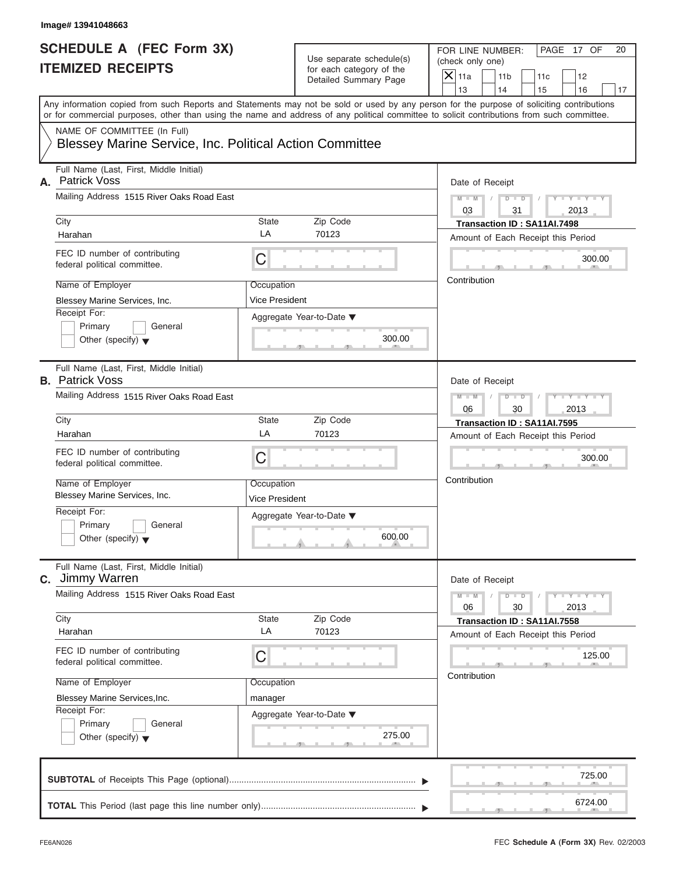|                          | FOR LINE NUMBER:                      | OF.<br>l PAGE<br>- 17 |  |
|--------------------------|---------------------------------------|-----------------------|--|
| Use separate schedule(s) | (check only one)                      |                       |  |
| for each category of the | $ \mathsf{X} $ 11a<br>11 <sub>b</sub> |                       |  |
| Detailed Summary Page    |                                       |                       |  |

| <b>SCHEDULE A (FEC Form 3X)</b>                                   |                              | Use separate schedule(s) | FOR LINE NUMBER:<br>PAGE 17 OF<br>20                                                                                                                                                                                                                                                    |  |
|-------------------------------------------------------------------|------------------------------|--------------------------|-----------------------------------------------------------------------------------------------------------------------------------------------------------------------------------------------------------------------------------------------------------------------------------------|--|
| <b>ITEMIZED RECEIPTS</b>                                          |                              | for each category of the | (check only one)                                                                                                                                                                                                                                                                        |  |
|                                                                   |                              | Detailed Summary Page    | $\overline{X}$ 11a<br>11 <sub>b</sub><br>11c<br>12                                                                                                                                                                                                                                      |  |
|                                                                   |                              |                          | 13<br>14<br>15<br>16<br>17                                                                                                                                                                                                                                                              |  |
|                                                                   |                              |                          | Any information copied from such Reports and Statements may not be sold or used by any person for the purpose of soliciting contributions<br>or for commercial purposes, other than using the name and address of any political committee to solicit contributions from such committee. |  |
| NAME OF COMMITTEE (In Full)                                       |                              |                          |                                                                                                                                                                                                                                                                                         |  |
| Blessey Marine Service, Inc. Political Action Committee           |                              |                          |                                                                                                                                                                                                                                                                                         |  |
| Full Name (Last, First, Middle Initial)<br>Patrick Voss<br>А.     |                              |                          | Date of Receipt                                                                                                                                                                                                                                                                         |  |
| Mailing Address 1515 River Oaks Road East                         |                              |                          | $Y - Y - Y - Y - Y$<br>$M - M$<br>$\sqrt{2}$<br>03<br>31<br>2013                                                                                                                                                                                                                        |  |
| City                                                              | <b>State</b>                 | Zip Code                 | Transaction ID: SA11AI.7498                                                                                                                                                                                                                                                             |  |
| Harahan                                                           | LA                           | 70123                    | Amount of Each Receipt this Period                                                                                                                                                                                                                                                      |  |
| FEC ID number of contributing<br>federal political committee.     | $\mathsf C$                  |                          | 300.00                                                                                                                                                                                                                                                                                  |  |
| Name of Employer                                                  | Occupation                   |                          | Contribution                                                                                                                                                                                                                                                                            |  |
| Blessey Marine Services, Inc.                                     | Vice President               |                          |                                                                                                                                                                                                                                                                                         |  |
| Receipt For:                                                      | Aggregate Year-to-Date ▼     |                          |                                                                                                                                                                                                                                                                                         |  |
| Primary<br>General                                                |                              |                          |                                                                                                                                                                                                                                                                                         |  |
| Other (specify) $\blacktriangledown$                              |                              | 300.00                   |                                                                                                                                                                                                                                                                                         |  |
| Full Name (Last, First, Middle Initial)<br><b>B.</b> Patrick Voss |                              |                          | Date of Receipt                                                                                                                                                                                                                                                                         |  |
| Mailing Address 1515 River Oaks Road East                         |                              |                          | $D - D$<br>Y I Y I Y I Y<br>$M - M$<br>$\Box$                                                                                                                                                                                                                                           |  |
|                                                                   |                              |                          | 06<br>30<br>2013                                                                                                                                                                                                                                                                        |  |
| City                                                              | <b>State</b>                 | Zip Code                 | Transaction ID: SA11AI.7595                                                                                                                                                                                                                                                             |  |
| Harahan                                                           | LA                           | 70123                    | Amount of Each Receipt this Period                                                                                                                                                                                                                                                      |  |
| FEC ID number of contributing<br>federal political committee.     | C                            |                          | 300.00                                                                                                                                                                                                                                                                                  |  |
| Name of Employer<br>Blessey Marine Services, Inc.                 | Occupation<br>Vice President |                          | Contribution                                                                                                                                                                                                                                                                            |  |
| Receipt For:                                                      |                              |                          |                                                                                                                                                                                                                                                                                         |  |
| Primary<br>General                                                | Aggregate Year-to-Date ▼     |                          |                                                                                                                                                                                                                                                                                         |  |
| Other (specify) $\blacktriangledown$                              |                              | 600.00                   |                                                                                                                                                                                                                                                                                         |  |
| Full Name (Last, First, Middle Initial)<br><b>C.</b> Jimmy Warren |                              |                          | Date of Receipt                                                                                                                                                                                                                                                                         |  |
| Mailing Address 1515 River Oaks Road East                         |                              |                          | $M - M$<br>$-\mathbf{y}$ $-\mathbf{y}$ $-\mathbf{y}$<br>$D$ $D$<br>06<br>30<br>2013                                                                                                                                                                                                     |  |
| City                                                              | State                        | Zip Code                 | Transaction ID: SA11AI.7558                                                                                                                                                                                                                                                             |  |
| Harahan                                                           | LA                           | 70123                    | Amount of Each Receipt this Period                                                                                                                                                                                                                                                      |  |
| FEC ID number of contributing<br>federal political committee.     | C                            |                          | 125.00                                                                                                                                                                                                                                                                                  |  |
| Name of Employer                                                  | Occupation                   |                          | Contribution                                                                                                                                                                                                                                                                            |  |
| Blessey Marine Services, Inc.                                     | manager                      |                          |                                                                                                                                                                                                                                                                                         |  |
| Receipt For:                                                      | Aggregate Year-to-Date ▼     |                          |                                                                                                                                                                                                                                                                                         |  |
| Primary<br>General                                                |                              |                          |                                                                                                                                                                                                                                                                                         |  |
| Other (specify) $\blacktriangledown$                              |                              | 275.00                   |                                                                                                                                                                                                                                                                                         |  |
|                                                                   |                              |                          | 725.00                                                                                                                                                                                                                                                                                  |  |
|                                                                   |                              |                          |                                                                                                                                                                                                                                                                                         |  |
|                                                                   |                              |                          | 6724.00                                                                                                                                                                                                                                                                                 |  |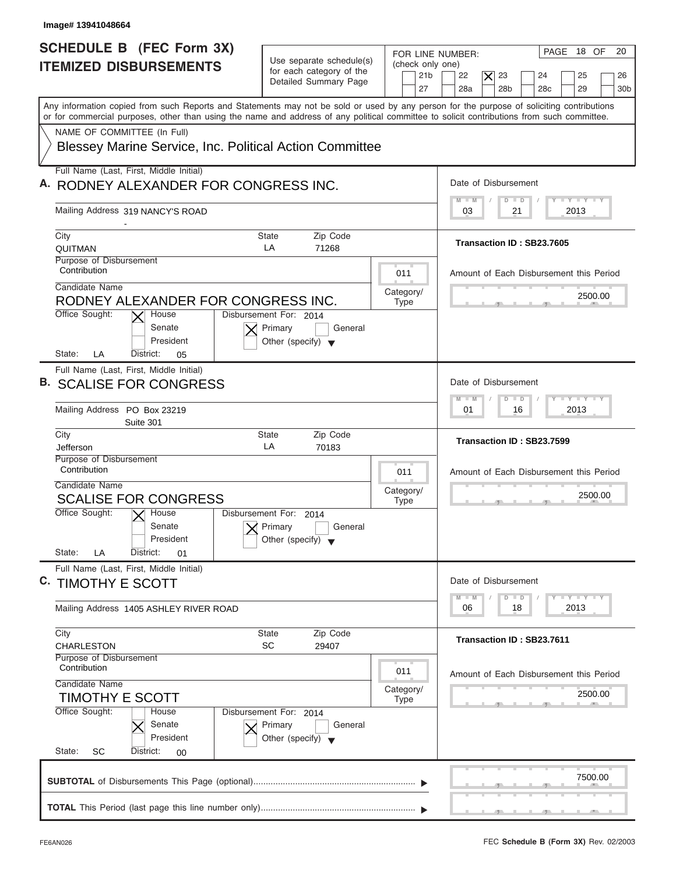| Image# 13941048664                                                                                                                                                                                                                                                                      |                                                                                                     |                                                                                                                                                                                                                  |
|-----------------------------------------------------------------------------------------------------------------------------------------------------------------------------------------------------------------------------------------------------------------------------------------|-----------------------------------------------------------------------------------------------------|------------------------------------------------------------------------------------------------------------------------------------------------------------------------------------------------------------------|
| SCHEDULE B (FEC Form 3X)<br><b>ITEMIZED DISBURSEMENTS</b>                                                                                                                                                                                                                               | Use separate schedule(s)<br>for each category of the<br>Detailed Summary Page                       | PAGE 18 OF<br>20<br>FOR LINE NUMBER:<br>(check only one)<br>21 <sub>b</sub><br>22<br>$ \boldsymbol{\times} $<br>23<br>25<br>24<br>26<br>27<br>28a<br>28 <sub>b</sub><br>28 <sub>c</sub><br>29<br>30 <sub>b</sub> |
| Any information copied from such Reports and Statements may not be sold or used by any person for the purpose of soliciting contributions<br>or for commercial purposes, other than using the name and address of any political committee to solicit contributions from such committee. |                                                                                                     |                                                                                                                                                                                                                  |
| NAME OF COMMITTEE (In Full)<br>Blessey Marine Service, Inc. Political Action Committee                                                                                                                                                                                                  |                                                                                                     |                                                                                                                                                                                                                  |
| Full Name (Last, First, Middle Initial)<br>A. RODNEY ALEXANDER FOR CONGRESS INC.                                                                                                                                                                                                        |                                                                                                     | Date of Disbursement                                                                                                                                                                                             |
| Mailing Address 319 NANCY'S ROAD                                                                                                                                                                                                                                                        |                                                                                                     | $\mathbf{I} \mathbf{Y} \mathbf{I} \mathbf{Y}$<br>$D$ $D$<br>$M - M$<br>2013<br>03<br>21                                                                                                                          |
| City<br>QUITMAN                                                                                                                                                                                                                                                                         | <b>State</b><br>Zip Code<br>LA<br>71268                                                             | Transaction ID: SB23.7605                                                                                                                                                                                        |
| Purpose of Disbursement<br>Contribution<br>Candidate Name                                                                                                                                                                                                                               | 011                                                                                                 | Amount of Each Disbursement this Period                                                                                                                                                                          |
| RODNEY ALEXANDER FOR CONGRESS INC.<br>Office Sought:<br>House<br>Senate                                                                                                                                                                                                                 | Category/<br><b>Type</b><br>Disbursement For: 2014<br>Primary<br>General                            | 2500.00                                                                                                                                                                                                          |
| President<br>State:<br>LA<br>District:<br>05                                                                                                                                                                                                                                            | Other (specify) $\blacktriangledown$                                                                |                                                                                                                                                                                                                  |
| Full Name (Last, First, Middle Initial)<br><b>B. SCALISE FOR CONGRESS</b>                                                                                                                                                                                                               |                                                                                                     | Date of Disbursement                                                                                                                                                                                             |
| Mailing Address PO Box 23219<br>Suite 301                                                                                                                                                                                                                                               |                                                                                                     | $-1 - Y - 1 - Y - 1 - Y$<br>$\Box$<br>$M - M$<br>D<br>2013<br>01<br>16                                                                                                                                           |
| City<br>Jefferson                                                                                                                                                                                                                                                                       | Zip Code<br><b>State</b><br>LA<br>70183                                                             | Transaction ID: SB23.7599                                                                                                                                                                                        |
| Purpose of Disbursement<br>Contribution<br>Candidate Name                                                                                                                                                                                                                               | 011                                                                                                 | Amount of Each Disbursement this Period                                                                                                                                                                          |
| <b>SCALISE FOR CONGRESS</b>                                                                                                                                                                                                                                                             | Category/<br><b>Type</b>                                                                            | 2500.00<br>__                                                                                                                                                                                                    |
| Office Sought:<br>$\overline{X}$ House<br>Senate<br>President                                                                                                                                                                                                                           | Disbursement For:<br>2014<br>Primary<br>General<br>Other (specify)                                  |                                                                                                                                                                                                                  |
| State:<br>District:<br>LA<br>01<br>Full Name (Last, First, Middle Initial)<br>C. TIMOTHY E SCOTT                                                                                                                                                                                        |                                                                                                     | Date of Disbursement                                                                                                                                                                                             |
| Mailing Address 1405 ASHLEY RIVER ROAD                                                                                                                                                                                                                                                  |                                                                                                     | $\mathbf{I}$ $\mathbf{Y}$ $\mathbf{I}$ $\mathbf{Y}$ $\mathbf{I}$ $\mathbf{Y}$<br>$M - M$<br>$\Box$<br>D<br>2013<br>06<br>18                                                                                      |
| City<br>CHARLESTON                                                                                                                                                                                                                                                                      | Zip Code<br>State<br><b>SC</b><br>29407                                                             | Transaction ID: SB23.7611                                                                                                                                                                                        |
| Purpose of Disbursement<br>Contribution<br>Candidate Name                                                                                                                                                                                                                               | 011<br>Category/                                                                                    | Amount of Each Disbursement this Period                                                                                                                                                                          |
| <b>TIMOTHY E SCOTT</b><br>Office Sought:<br>House<br>Senate<br>President                                                                                                                                                                                                                | <b>Type</b><br>Disbursement For: 2014<br>Primary<br>General<br>Other (specify) $\blacktriangledown$ | 2500.00                                                                                                                                                                                                          |
| State:<br>SC<br>District:<br>00                                                                                                                                                                                                                                                         |                                                                                                     | 7500.00                                                                                                                                                                                                          |
|                                                                                                                                                                                                                                                                                         |                                                                                                     |                                                                                                                                                                                                                  |

I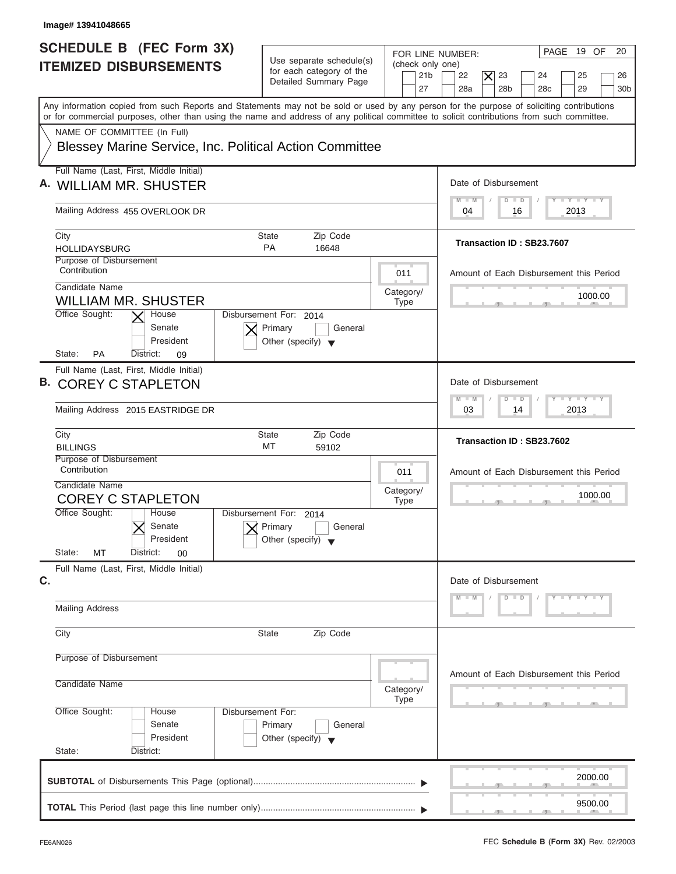| Image# 13941048665                                                                                                                                                                                                                                                                      |                                                                                                                            |                                                                                                                                                      |
|-----------------------------------------------------------------------------------------------------------------------------------------------------------------------------------------------------------------------------------------------------------------------------------------|----------------------------------------------------------------------------------------------------------------------------|------------------------------------------------------------------------------------------------------------------------------------------------------|
| SCHEDULE B (FEC Form 3X)<br><b>ITEMIZED DISBURSEMENTS</b>                                                                                                                                                                                                                               | Use separate schedule(s)<br>(check only one)<br>for each category of the<br>21 <sub>b</sub><br>Detailed Summary Page<br>27 | 20<br>PAGE 19 OF<br>FOR LINE NUMBER:<br>22<br>$\times$<br>23<br>25<br>24<br>26<br>28a<br>28 <sub>b</sub><br>28 <sub>c</sub><br>29<br>30 <sub>b</sub> |
| Any information copied from such Reports and Statements may not be sold or used by any person for the purpose of soliciting contributions<br>or for commercial purposes, other than using the name and address of any political committee to solicit contributions from such committee. |                                                                                                                            |                                                                                                                                                      |
| NAME OF COMMITTEE (In Full)<br><b>Blessey Marine Service, Inc. Political Action Committee</b>                                                                                                                                                                                           |                                                                                                                            |                                                                                                                                                      |
| Full Name (Last, First, Middle Initial)<br>A. WILLIAM MR. SHUSTER                                                                                                                                                                                                                       |                                                                                                                            | Date of Disbursement                                                                                                                                 |
| Mailing Address 455 OVERLOOK DR                                                                                                                                                                                                                                                         |                                                                                                                            | $T - Y$ $T - Y$ $T - Y$<br>$D$ $D$<br>$M - M$<br>2013<br>04<br>16                                                                                    |
| City<br><b>HOLLIDAYSBURG</b>                                                                                                                                                                                                                                                            | Zip Code<br>State<br><b>PA</b><br>16648                                                                                    | Transaction ID: SB23.7607                                                                                                                            |
| Purpose of Disbursement<br>Contribution<br>Candidate Name                                                                                                                                                                                                                               | 011                                                                                                                        | Amount of Each Disbursement this Period                                                                                                              |
| <b>WILLIAM MR. SHUSTER</b><br>Office Sought:<br>House                                                                                                                                                                                                                                   | Category/<br><b>Type</b><br>Disbursement For: 2014                                                                         | 1000.00                                                                                                                                              |
| Senate<br>President<br>State:<br><b>PA</b><br>District:<br>09                                                                                                                                                                                                                           | Primary<br>General<br>Other (specify) $\blacktriangledown$                                                                 |                                                                                                                                                      |
| Full Name (Last, First, Middle Initial)<br><b>B. COREY C STAPLETON</b>                                                                                                                                                                                                                  |                                                                                                                            | Date of Disbursement<br>$-1 - Y - 1 - Y - 1 - Y$                                                                                                     |
| Mailing Address 2015 EASTRIDGE DR                                                                                                                                                                                                                                                       |                                                                                                                            | $\Box$<br>$M - M$<br>$\overline{D}$<br>2013<br>03<br>14                                                                                              |
| City<br><b>BILLINGS</b>                                                                                                                                                                                                                                                                 | <b>State</b><br>Zip Code<br>МT<br>59102                                                                                    | Transaction ID: SB23.7602                                                                                                                            |
| Purpose of Disbursement<br>Contribution<br>Candidate Name<br><b>COREY C STAPLETON</b>                                                                                                                                                                                                   | 011<br>Category/<br><b>Type</b>                                                                                            | Amount of Each Disbursement this Period<br>1000.00                                                                                                   |
| Office Sought:<br>House<br>Senate<br>President                                                                                                                                                                                                                                          | Disbursement For:<br>2014<br>Primary<br>General<br>Other (specify)                                                         | __                                                                                                                                                   |
| State:<br>MT<br>District:<br>00<br>Full Name (Last, First, Middle Initial)<br>C.                                                                                                                                                                                                        |                                                                                                                            | Date of Disbursement                                                                                                                                 |
| <b>Mailing Address</b>                                                                                                                                                                                                                                                                  |                                                                                                                            | $Y = Y = Y = Y$<br>M<br>M<br>$D$ $D$                                                                                                                 |
| City                                                                                                                                                                                                                                                                                    | Zip Code<br><b>State</b>                                                                                                   |                                                                                                                                                      |
| Purpose of Disbursement                                                                                                                                                                                                                                                                 |                                                                                                                            | Amount of Each Disbursement this Period                                                                                                              |
| Candidate Name                                                                                                                                                                                                                                                                          | Category/<br><b>Type</b>                                                                                                   |                                                                                                                                                      |
| Office Sought:<br>House<br>Senate<br>President<br>State:<br>District:                                                                                                                                                                                                                   | Disbursement For:<br>Primary<br>General<br>Other (specify) $\blacktriangledown$                                            |                                                                                                                                                      |
|                                                                                                                                                                                                                                                                                         |                                                                                                                            | 2000.00                                                                                                                                              |
|                                                                                                                                                                                                                                                                                         |                                                                                                                            | 9500.00                                                                                                                                              |

J